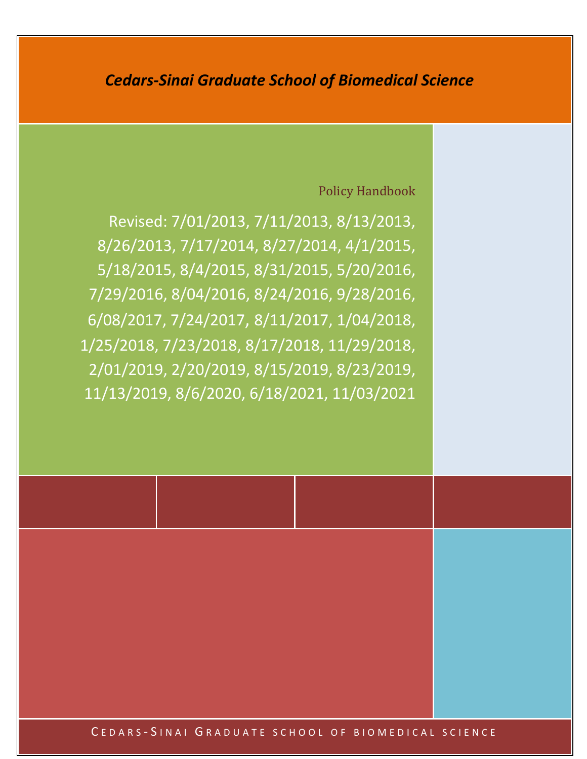# *Cedars-Sinai Graduate School of Biomedical Science*

# Policy Handbook

Revised: 7/01/2013, 7/11/2013, 8/13/2013, 8/26/2013, 7/17/2014, 8/27/2014, 4/1/2015, 5/18/2015, 8/4/2015, 8/31/2015, 5/20/2016, 7/29/2016, 8/04/2016, 8/24/2016, 9/28/2016, 6/08/2017, 7/24/2017, 8/11/2017, 1/04/2018, 1/25/2018, 7/23/2018, 8/17/2018, 11/29/2018, 2/01/2019, 2/20/2019, 8/15/2019, 8/23/2019, 11/13/2019, 8/6/2020, 6/18/2021, 11/03/2021

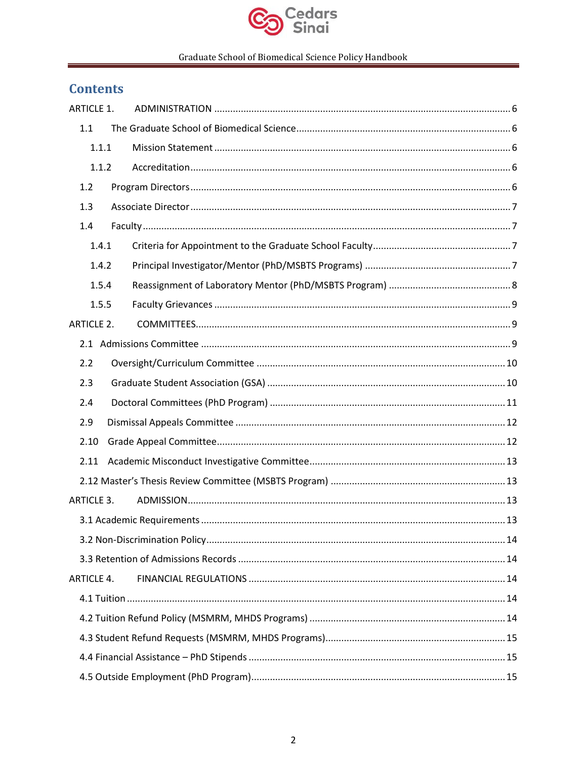

# **Contents**

| <b>ARTICLE 1.</b> |  |  |
|-------------------|--|--|
| 1.1               |  |  |
| 1.1.1             |  |  |
| 1.1.2             |  |  |
| 1.2               |  |  |
| 1.3               |  |  |
| 1.4               |  |  |
| 1.4.1             |  |  |
| 1.4.2             |  |  |
| 1.5.4             |  |  |
| 1.5.5             |  |  |
| <b>ARTICLE 2.</b> |  |  |
|                   |  |  |
| 2.2               |  |  |
| 2.3               |  |  |
| 2.4               |  |  |
| 2.9               |  |  |
| 2.10              |  |  |
| 2.11              |  |  |
|                   |  |  |
| <b>ARTICLE 3.</b> |  |  |
|                   |  |  |
|                   |  |  |
|                   |  |  |
| <b>ARTICLE 4.</b> |  |  |
|                   |  |  |
|                   |  |  |
|                   |  |  |
|                   |  |  |
|                   |  |  |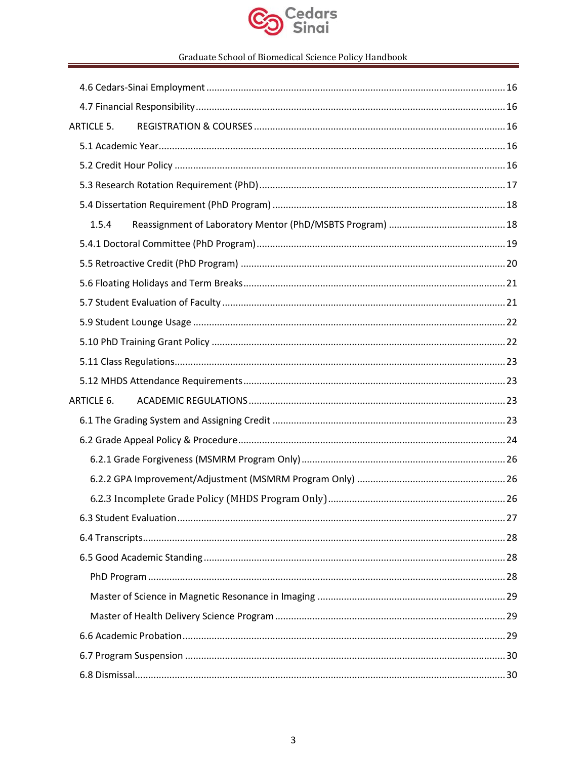

| <b>ARTICLE 5.</b> |  |
|-------------------|--|
|                   |  |
|                   |  |
|                   |  |
|                   |  |
| 1.5.4             |  |
|                   |  |
|                   |  |
|                   |  |
|                   |  |
|                   |  |
|                   |  |
|                   |  |
|                   |  |
| ARTICLE 6.        |  |
|                   |  |
|                   |  |
|                   |  |
|                   |  |
|                   |  |
|                   |  |
|                   |  |
|                   |  |
|                   |  |
|                   |  |
|                   |  |
|                   |  |
|                   |  |
|                   |  |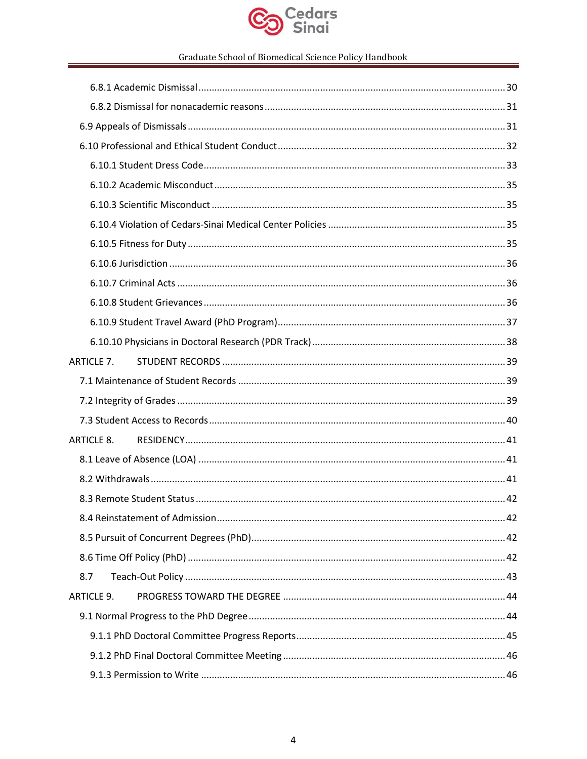

| <b>ARTICLE 7.</b> |  |
|-------------------|--|
|                   |  |
|                   |  |
|                   |  |
|                   |  |
|                   |  |
|                   |  |
|                   |  |
|                   |  |
|                   |  |
|                   |  |
| 8.7               |  |
| <b>ARTICLE 9.</b> |  |
|                   |  |
|                   |  |
|                   |  |
|                   |  |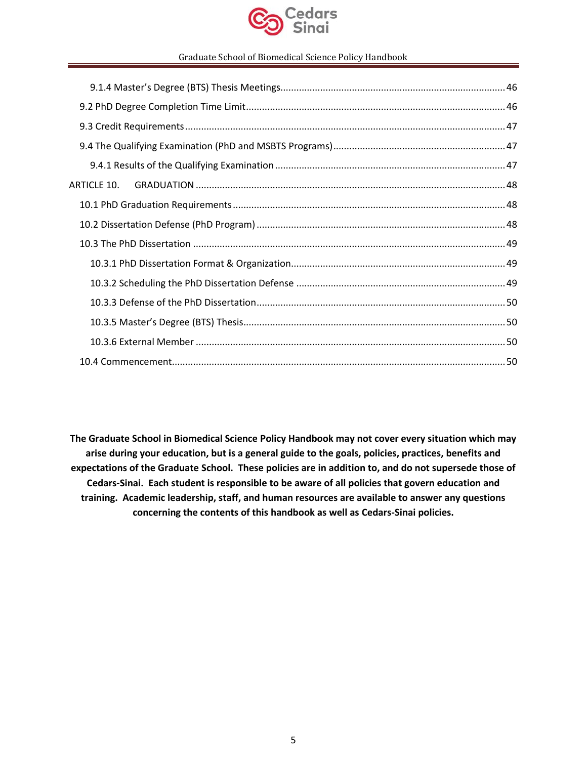

| ARTICLE 10. |
|-------------|
|             |
|             |
|             |
|             |
|             |
|             |
|             |
|             |
|             |
|             |

**The Graduate School in Biomedical Science Policy Handbook may not cover every situation which may arise during your education, but is a general guide to the goals, policies, practices, benefits and expectations of the Graduate School. These policies are in addition to, and do not supersede those of Cedars-Sinai. Each student is responsible to be aware of all policies that govern education and training. Academic leadership, staff, and human resources are available to answer any questions concerning the contents of this handbook as well as Cedars-Sinai policies.**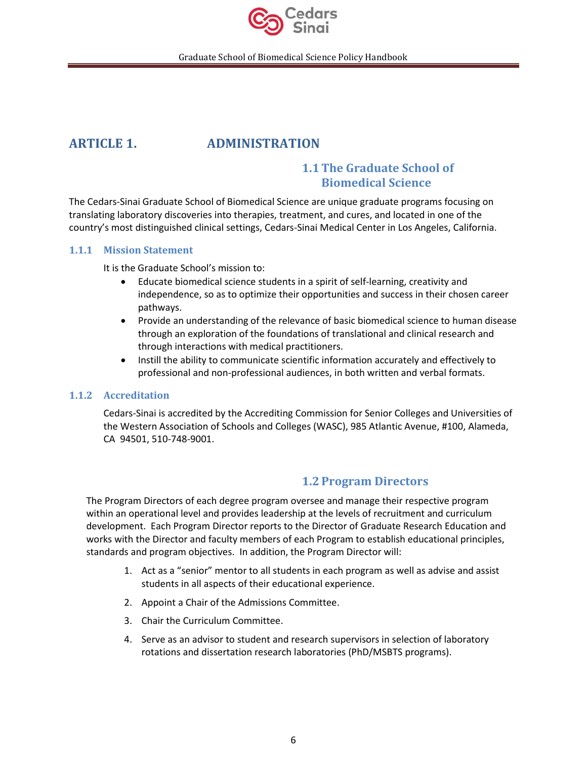

# <span id="page-5-1"></span><span id="page-5-0"></span>**ARTICLE 1. ADMINISTRATION**

# **1.1The Graduate School of Biomedical Science**

The Cedars-Sinai Graduate School of Biomedical Science are unique graduate programs focusing on translating laboratory discoveries into therapies, treatment, and cures, and located in one of the country's most distinguished clinical settings, Cedars-Sinai Medical Center in Los Angeles, California.

### <span id="page-5-2"></span>**1.1.1 Mission Statement**

It is the Graduate School's mission to:

- Educate biomedical science students in a spirit of self-learning, creativity and independence, so as to optimize their opportunities and success in their chosen career pathways.
- Provide an understanding of the relevance of basic biomedical science to human disease through an exploration of the foundations of translational and clinical research and through interactions with medical practitioners.
- Instill the ability to communicate scientific information accurately and effectively to professional and non-professional audiences, in both written and verbal formats.

### <span id="page-5-3"></span>**1.1.2 Accreditation**

Cedars-Sinai is accredited by the Accrediting Commission for Senior Colleges and Universities of the Western Association of Schools and Colleges (WASC), 985 Atlantic Avenue, #100, Alameda, CA 94501, 510-748-9001.

### **1.2Program Directors**

<span id="page-5-4"></span>The Program Directors of each degree program oversee and manage their respective program within an operational level and provides leadership at the levels of recruitment and curriculum development. Each Program Director reports to the Director of Graduate Research Education and works with the Director and faculty members of each Program to establish educational principles, standards and program objectives. In addition, the Program Director will:

- 1. Act as a "senior" mentor to all students in each program as well as advise and assist students in all aspects of their educational experience.
- 2. Appoint a Chair of the Admissions Committee.
- 3. Chair the Curriculum Committee.
- 4. Serve as an advisor to student and research supervisors in selection of laboratory rotations and dissertation research laboratories (PhD/MSBTS programs).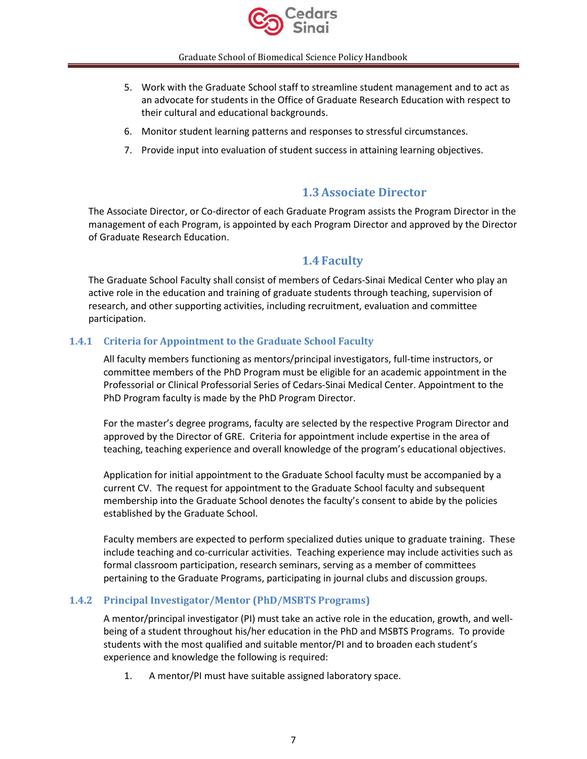

- 5. Work with the Graduate School staff to streamline student management and to act as an advocate for students in the Office of Graduate Research Education with respect to their cultural and educational backgrounds.
- 6. Monitor student learning patterns and responses to stressful circumstances.
- 7. Provide input into evaluation of student success in attaining learning objectives.

# **1.3Associate Director**

<span id="page-6-0"></span>The Associate Director, or Co-director of each Graduate Program assists the Program Director in the management of each Program, is appointed by each Program Director and approved by the Director of Graduate Research Education.

# **1.4 Faculty**

<span id="page-6-1"></span>The Graduate School Faculty shall consist of members of Cedars-Sinai Medical Center who play an active role in the education and training of graduate students through teaching, supervision of research, and other supporting activities, including recruitment, evaluation and committee participation.

### <span id="page-6-2"></span>**1.4.1 Criteria for Appointment to the Graduate School Faculty**

All faculty members functioning as mentors/principal investigators, full-time instructors, or committee members of the PhD Program must be eligible for an academic appointment in the Professorial or Clinical Professorial Series of Cedars-Sinai Medical Center. Appointment to the PhD Program faculty is made by the PhD Program Director.

For the master's degree programs, faculty are selected by the respective Program Director and approved by the Director of GRE. Criteria for appointment include expertise in the area of teaching, teaching experience and overall knowledge of the program's educational objectives.

Application for initial appointment to the Graduate School faculty must be accompanied by a current CV. The request for appointment to the Graduate School faculty and subsequent membership into the Graduate School denotes the faculty's consent to abide by the policies established by the Graduate School.

Faculty members are expected to perform specialized duties unique to graduate training. These include teaching and co-curricular activities. Teaching experience may include activities such as formal classroom participation, research seminars, serving as a member of committees pertaining to the Graduate Programs, participating in journal clubs and discussion groups.

### <span id="page-6-3"></span>**1.4.2 Principal Investigator/Mentor (PhD/MSBTS Programs)**

A mentor/principal investigator (PI) must take an active role in the education, growth, and wellbeing of a student throughout his/her education in the PhD and MSBTS Programs. To provide students with the most qualified and suitable mentor/PI and to broaden each student's experience and knowledge the following is required:

1. A mentor/PI must have suitable assigned laboratory space.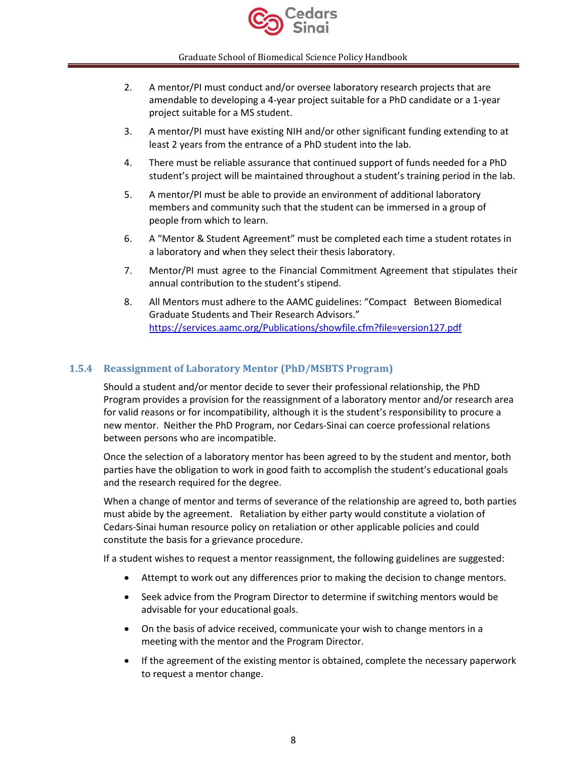

- 2. A mentor/PI must conduct and/or oversee laboratory research projects that are amendable to developing a 4-year project suitable for a PhD candidate or a 1-year project suitable for a MS student.
- 3. A mentor/PI must have existing NIH and/or other significant funding extending to at least 2 years from the entrance of a PhD student into the lab.
- 4. There must be reliable assurance that continued support of funds needed for a PhD student's project will be maintained throughout a student's training period in the lab.
- 5. A mentor/PI must be able to provide an environment of additional laboratory members and community such that the student can be immersed in a group of people from which to learn.
- 6. A "Mentor & Student Agreement" must be completed each time a student rotates in a laboratory and when they select their thesis laboratory.
- 7. Mentor/PI must agree to the Financial Commitment Agreement that stipulates their annual contribution to the student's stipend.
- 8. All Mentors must adhere to the AAMC guidelines: "Compact Between Biomedical Graduate Students and Their Research Advisors." <https://services.aamc.org/Publications/showfile.cfm?file=version127.pdf>

### <span id="page-7-0"></span>**1.5.4 Reassignment of Laboratory Mentor (PhD/MSBTS Program)**

Should a student and/or mentor decide to sever their professional relationship, the PhD Program provides a provision for the reassignment of a laboratory mentor and/or research area for valid reasons or for incompatibility, although it is the student's responsibility to procure a new mentor. Neither the PhD Program, nor Cedars-Sinai can coerce professional relations between persons who are incompatible.

Once the selection of a laboratory mentor has been agreed to by the student and mentor, both parties have the obligation to work in good faith to accomplish the student's educational goals and the research required for the degree.

When a change of mentor and terms of severance of the relationship are agreed to, both parties must abide by the agreement. Retaliation by either party would constitute a violation of Cedars-Sinai human resource policy on retaliation or other applicable policies and could constitute the basis for a grievance procedure.

If a student wishes to request a mentor reassignment, the following guidelines are suggested:

- Attempt to work out any differences prior to making the decision to change mentors.
- Seek advice from the Program Director to determine if switching mentors would be advisable for your educational goals.
- On the basis of advice received, communicate your wish to change mentors in a meeting with the mentor and the Program Director.
- If the agreement of the existing mentor is obtained, complete the necessary paperwork to request a mentor change.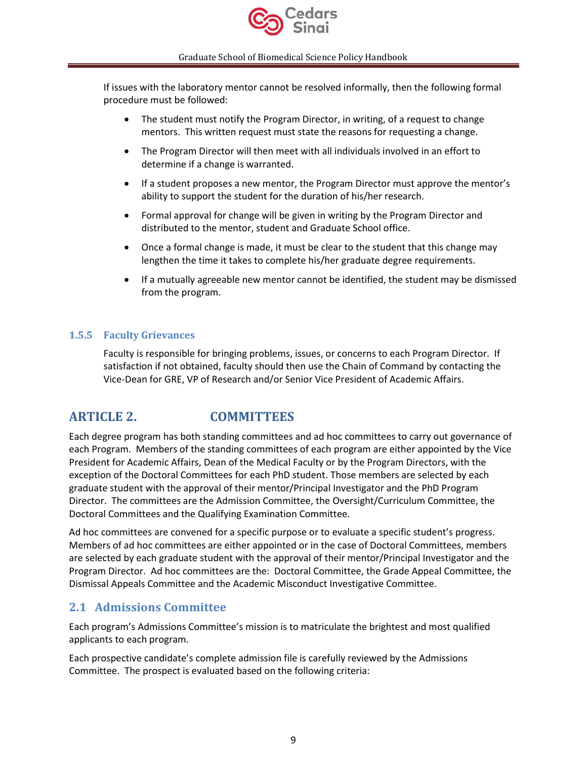

If issues with the laboratory mentor cannot be resolved informally, then the following formal procedure must be followed:

- The student must notify the Program Director, in writing, of a request to change mentors. This written request must state the reasons for requesting a change.
- The Program Director will then meet with all individuals involved in an effort to determine if a change is warranted.
- If a student proposes a new mentor, the Program Director must approve the mentor's ability to support the student for the duration of his/her research.
- Formal approval for change will be given in writing by the Program Director and distributed to the mentor, student and Graduate School office.
- Once a formal change is made, it must be clear to the student that this change may lengthen the time it takes to complete his/her graduate degree requirements.
- If a mutually agreeable new mentor cannot be identified, the student may be dismissed from the program.

### <span id="page-8-0"></span>**1.5.5 Faculty Grievances**

Faculty is responsible for bringing problems, issues, or concerns to each Program Director. If satisfaction if not obtained, faculty should then use the Chain of Command by contacting the Vice-Dean for GRE, VP of Research and/or Senior Vice President of Academic Affairs.

# <span id="page-8-1"></span>**ARTICLE 2. COMMITTEES**

Each degree program has both standing committees and ad hoc committees to carry out governance of each Program. Members of the standing committees of each program are either appointed by the Vice President for Academic Affairs, Dean of the Medical Faculty or by the Program Directors, with the exception of the Doctoral Committees for each PhD student. Those members are selected by each graduate student with the approval of their mentor/Principal Investigator and the PhD Program Director. The committees are the Admission Committee, the Oversight/Curriculum Committee, the Doctoral Committees and the Qualifying Examination Committee.

Ad hoc committees are convened for a specific purpose or to evaluate a specific student's progress. Members of ad hoc committees are either appointed or in the case of Doctoral Committees, members are selected by each graduate student with the approval of their mentor/Principal Investigator and the Program Director. Ad hoc committees are the: Doctoral Committee, the Grade Appeal Committee, the Dismissal Appeals Committee and the Academic Misconduct Investigative Committee.

# <span id="page-8-2"></span>**2.1 Admissions Committee**

Each program's Admissions Committee's mission is to matriculate the brightest and most qualified applicants to each program.

Each prospective candidate's complete admission file is carefully reviewed by the Admissions Committee. The prospect is evaluated based on the following criteria: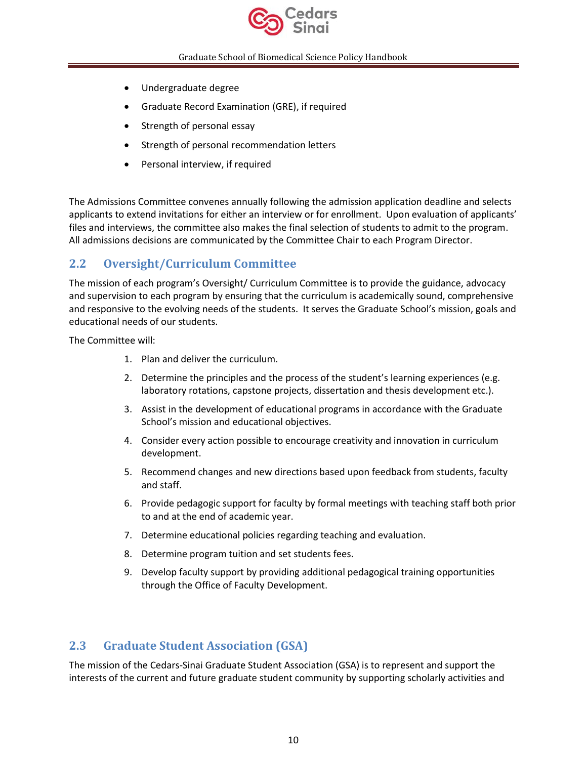

- Undergraduate degree
- Graduate Record Examination (GRE), if required
- Strength of personal essay
- Strength of personal recommendation letters
- Personal interview, if required

The Admissions Committee convenes annually following the admission application deadline and selects applicants to extend invitations for either an interview or for enrollment. Upon evaluation of applicants' files and interviews, the committee also makes the final selection of students to admit to the program. All admissions decisions are communicated by the Committee Chair to each Program Director.

# <span id="page-9-0"></span>**2.2 Oversight/Curriculum Committee**

The mission of each program's Oversight/ Curriculum Committee is to provide the guidance, advocacy and supervision to each program by ensuring that the curriculum is academically sound, comprehensive and responsive to the evolving needs of the students. It serves the Graduate School's mission, goals and educational needs of our students.

The Committee will:

- 1. Plan and deliver the curriculum.
- 2. Determine the principles and the process of the student's learning experiences (e.g. laboratory rotations, capstone projects, dissertation and thesis development etc.).
- 3. Assist in the development of educational programs in accordance with the Graduate School's mission and educational objectives.
- 4. Consider every action possible to encourage creativity and innovation in curriculum development.
- 5. Recommend changes and new directions based upon feedback from students, faculty and staff.
- 6. Provide pedagogic support for faculty by formal meetings with teaching staff both prior to and at the end of academic year.
- 7. Determine educational policies regarding teaching and evaluation.
- 8. Determine program tuition and set students fees.
- 9. Develop faculty support by providing additional pedagogical training opportunities through the Office of Faculty Development.

# <span id="page-9-1"></span>**2.3 Graduate Student Association (GSA)**

The mission of the Cedars-Sinai Graduate Student Association (GSA) is to represent and support the interests of the current and future graduate student community by supporting scholarly activities and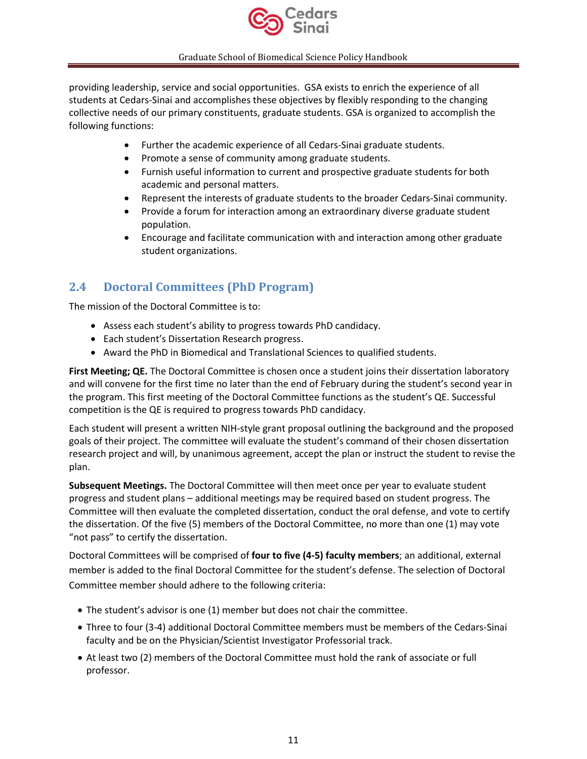

providing leadership, service and social opportunities. GSA exists to enrich the experience of all students at Cedars-Sinai and accomplishes these objectives by flexibly responding to the changing collective needs of our primary constituents, graduate students. GSA is organized to accomplish the following functions:

- Further the academic experience of all Cedars-Sinai graduate students.
- Promote a sense of community among graduate students.
- Furnish useful information to current and prospective graduate students for both academic and personal matters.
- Represent the interests of graduate students to the broader Cedars-Sinai community.
- Provide a forum for interaction among an extraordinary diverse graduate student population.
- Encourage and facilitate communication with and interaction among other graduate student organizations.

# <span id="page-10-0"></span>**2.4 Doctoral Committees (PhD Program)**

The mission of the Doctoral Committee is to:

- Assess each student's ability to progress towards PhD candidacy.
- Each student's Dissertation Research progress.
- Award the PhD in Biomedical and Translational Sciences to qualified students.

**First Meeting; QE.** The Doctoral Committee is chosen once a student joins their dissertation laboratory and will convene for the first time no later than the end of February during the student's second year in the program. This first meeting of the Doctoral Committee functions as the student's QE. Successful competition is the QE is required to progress towards PhD candidacy.

Each student will present a written NIH-style grant proposal outlining the background and the proposed goals of their project. The committee will evaluate the student's command of their chosen dissertation research project and will, by unanimous agreement, accept the plan or instruct the student to revise the plan.

**Subsequent Meetings.** The Doctoral Committee will then meet once per year to evaluate student progress and student plans – additional meetings may be required based on student progress. The Committee will then evaluate the completed dissertation, conduct the oral defense, and vote to certify the dissertation. Of the five (5) members of the Doctoral Committee, no more than one (1) may vote "not pass" to certify the dissertation.

Doctoral Committees will be comprised of **four to five (4-5) faculty members**; an additional, external member is added to the final Doctoral Committee for the student's defense. The selection of Doctoral Committee member should adhere to the following criteria:

- The student's advisor is one (1) member but does not chair the committee.
- Three to four (3-4) additional Doctoral Committee members must be members of the Cedars-Sinai faculty and be on the Physician/Scientist Investigator Professorial track.
- At least two (2) members of the Doctoral Committee must hold the rank of associate or full professor.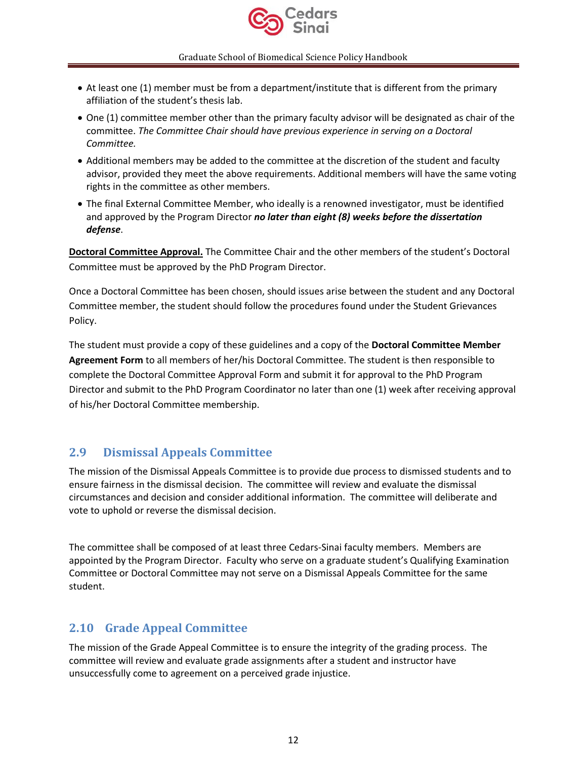

- At least one (1) member must be from a department/institute that is different from the primary affiliation of the student's thesis lab.
- One (1) committee member other than the primary faculty advisor will be designated as chair of the committee. *The Committee Chair should have previous experience in serving on a Doctoral Committee.*
- Additional members may be added to the committee at the discretion of the student and faculty advisor, provided they meet the above requirements. Additional members will have the same voting rights in the committee as other members.
- The final External Committee Member, who ideally is a renowned investigator, must be identified and approved by the Program Director *no later than eight (8) weeks before the dissertation defense*.

**Doctoral Committee Approval.** The Committee Chair and the other members of the student's Doctoral Committee must be approved by the PhD Program Director.

Once a Doctoral Committee has been chosen, should issues arise between the student and any Doctoral Committee member, the student should follow the procedures found under the Student Grievances Policy.

The student must provide a copy of these guidelines and a copy of the **Doctoral Committee Member Agreement Form** to all members of her/his Doctoral Committee. The student is then responsible to complete the Doctoral Committee Approval Form and submit it for approval to the PhD Program Director and submit to the PhD Program Coordinator no later than one (1) week after receiving approval of his/her Doctoral Committee membership.

# <span id="page-11-0"></span>**2.9 Dismissal Appeals Committee**

The mission of the Dismissal Appeals Committee is to provide due process to dismissed students and to ensure fairness in the dismissal decision. The committee will review and evaluate the dismissal circumstances and decision and consider additional information. The committee will deliberate and vote to uphold or reverse the dismissal decision.

The committee shall be composed of at least three Cedars-Sinai faculty members. Members are appointed by the Program Director. Faculty who serve on a graduate student's Qualifying Examination Committee or Doctoral Committee may not serve on a Dismissal Appeals Committee for the same student.

# <span id="page-11-1"></span>**2.10 Grade Appeal Committee**

The mission of the Grade Appeal Committee is to ensure the integrity of the grading process. The committee will review and evaluate grade assignments after a student and instructor have unsuccessfully come to agreement on a perceived grade injustice.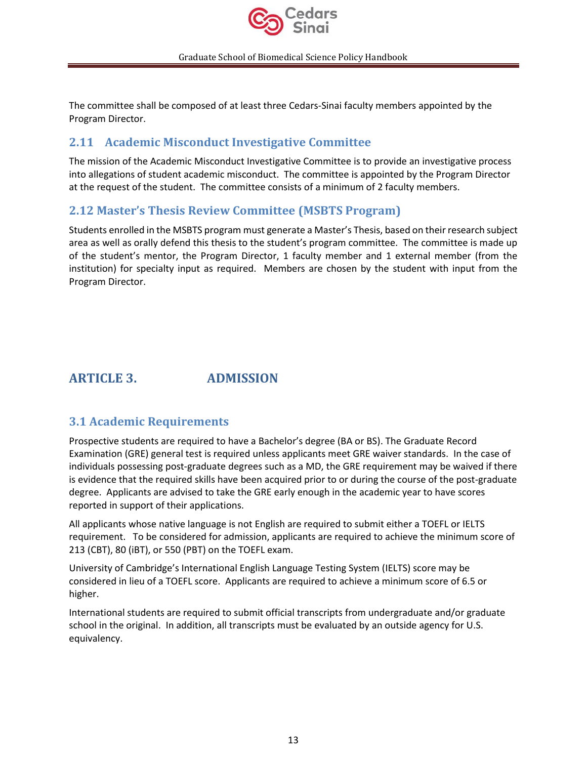

The committee shall be composed of at least three Cedars-Sinai faculty members appointed by the Program Director.

# <span id="page-12-0"></span>**2.11 Academic Misconduct Investigative Committee**

The mission of the Academic Misconduct Investigative Committee is to provide an investigative process into allegations of student academic misconduct. The committee is appointed by the Program Director at the request of the student. The committee consists of a minimum of 2 faculty members.

# <span id="page-12-1"></span>**2.12 Master's Thesis Review Committee (MSBTS Program)**

Students enrolled in the MSBTS program must generate a Master's Thesis, based on their research subject area as well as orally defend this thesis to the student's program committee. The committee is made up of the student's mentor, the Program Director, 1 faculty member and 1 external member (from the institution) for specialty input as required. Members are chosen by the student with input from the Program Director.

# <span id="page-12-2"></span>**ARTICLE 3. ADMISSION**

# <span id="page-12-3"></span>**3.1 Academic Requirements**

Prospective students are required to have a Bachelor's degree (BA or BS). The Graduate Record Examination (GRE) general test is required unless applicants meet GRE waiver standards. In the case of individuals possessing post-graduate degrees such as a MD, the GRE requirement may be waived if there is evidence that the required skills have been acquired prior to or during the course of the post-graduate degree. Applicants are advised to take the GRE early enough in the academic year to have scores reported in support of their applications.

All applicants whose native language is not English are required to submit either a TOEFL or IELTS requirement. To be considered for admission, applicants are required to achieve the minimum score of 213 (CBT), 80 (iBT), or 550 (PBT) on the TOEFL exam.

University of Cambridge's International English Language Testing System (IELTS) score may be considered in lieu of a TOEFL score. Applicants are required to achieve a minimum score of 6.5 or higher.

International students are required to submit official transcripts from undergraduate and/or graduate school in the original. In addition, all transcripts must be evaluated by an outside agency for U.S. equivalency.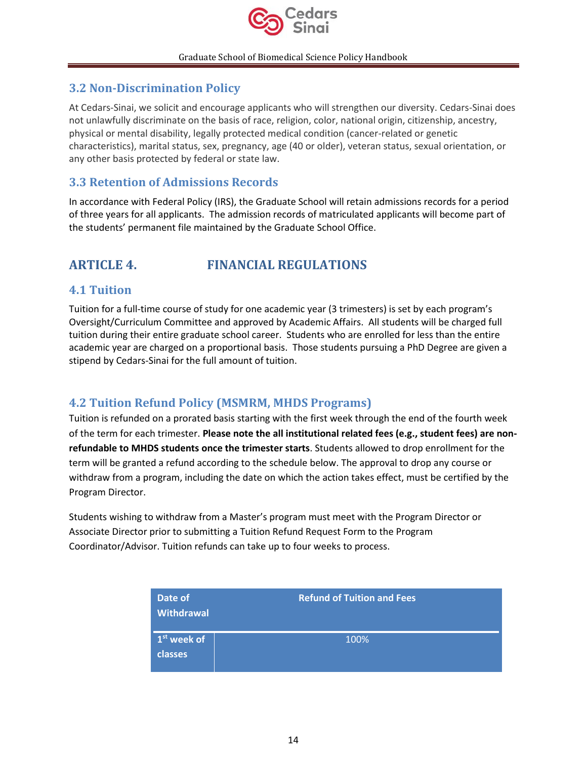

# <span id="page-13-0"></span>**3.2 Non-Discrimination Policy**

At Cedars-Sinai, we solicit and encourage applicants who will strengthen our diversity. Cedars-Sinai does not unlawfully discriminate on the basis of race, religion, color, national origin, citizenship, ancestry, physical or mental disability, legally protected medical condition (cancer-related or genetic characteristics), marital status, sex, pregnancy, age (40 or older), veteran status, sexual orientation, or any other basis protected by federal or state law.

# <span id="page-13-1"></span>**3.3 Retention of Admissions Records**

In accordance with Federal Policy (IRS), the Graduate School will retain admissions records for a period of three years for all applicants. The admission records of matriculated applicants will become part of the students' permanent file maintained by the Graduate School Office.

# <span id="page-13-2"></span>**ARTICLE 4. FINANCIAL REGULATIONS**

# <span id="page-13-3"></span>**4.1 Tuition**

Tuition for a full-time course of study for one academic year (3 trimesters) is set by each program's Oversight/Curriculum Committee and approved by Academic Affairs. All students will be charged full tuition during their entire graduate school career. Students who are enrolled for less than the entire academic year are charged on a proportional basis. Those students pursuing a PhD Degree are given a stipend by Cedars-Sinai for the full amount of tuition.

# <span id="page-13-4"></span>**4.2 Tuition Refund Policy (MSMRM, MHDS Programs)**

Tuition is refunded on a prorated basis starting with the first week through the end of the fourth week of the term for each trimester. **Please note the all institutional related fees (e.g., student fees) are nonrefundable to MHDS students once the trimester starts**. Students allowed to drop enrollment for the term will be granted a refund according to the schedule below. The approval to drop any course or withdraw from a program, including the date on which the action takes effect, must be certified by the Program Director.

Students wishing to withdraw from a Master's program must meet with the Program Director or Associate Director prior to submitting a Tuition Refund Request Form to the Program Coordinator/Advisor. Tuition refunds can take up to four weeks to process.

| Date of<br><b>Withdrawal</b>    | <b>Refund of Tuition and Fees</b> |
|---------------------------------|-----------------------------------|
| $1st$ week of<br><b>classes</b> | 100%                              |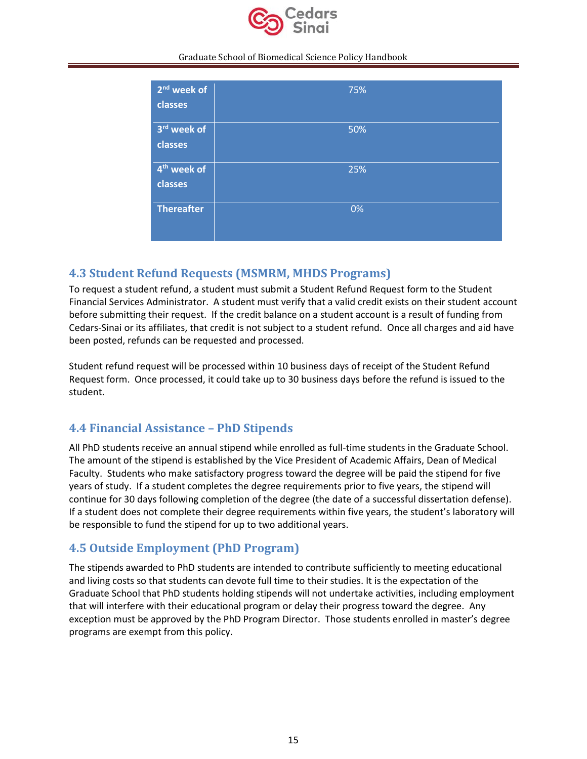

| 2 <sup>nd</sup> week of<br>classes | 75% |
|------------------------------------|-----|
| 3rd week of<br>classes             | 50% |
| 4 <sup>th</sup> week of<br>classes | 25% |
| <b>Thereafter</b>                  | 0%  |

# <span id="page-14-0"></span>**4.3 Student Refund Requests (MSMRM, MHDS Programs)**

To request a student refund, a student must submit a Student Refund Request form to the Student Financial Services Administrator. A student must verify that a valid credit exists on their student account before submitting their request. If the credit balance on a student account is a result of funding from Cedars-Sinai or its affiliates, that credit is not subject to a student refund. Once all charges and aid have been posted, refunds can be requested and processed.

Student refund request will be processed within 10 business days of receipt of the Student Refund Request form. Once processed, it could take up to 30 business days before the refund is issued to the student.

# <span id="page-14-1"></span>**4.4 Financial Assistance – PhD Stipends**

All PhD students receive an annual stipend while enrolled as full-time students in the Graduate School. The amount of the stipend is established by the Vice President of Academic Affairs, Dean of Medical Faculty. Students who make satisfactory progress toward the degree will be paid the stipend for five years of study. If a student completes the degree requirements prior to five years, the stipend will continue for 30 days following completion of the degree (the date of a successful dissertation defense). If a student does not complete their degree requirements within five years, the student's laboratory will be responsible to fund the stipend for up to two additional years.

# <span id="page-14-2"></span>**4.5 Outside Employment (PhD Program)**

The stipends awarded to PhD students are intended to contribute sufficiently to meeting educational and living costs so that students can devote full time to their studies. It is the expectation of the Graduate School that PhD students holding stipends will not undertake activities, including employment that will interfere with their educational program or delay their progress toward the degree. Any exception must be approved by the PhD Program Director. Those students enrolled in master's degree programs are exempt from this policy.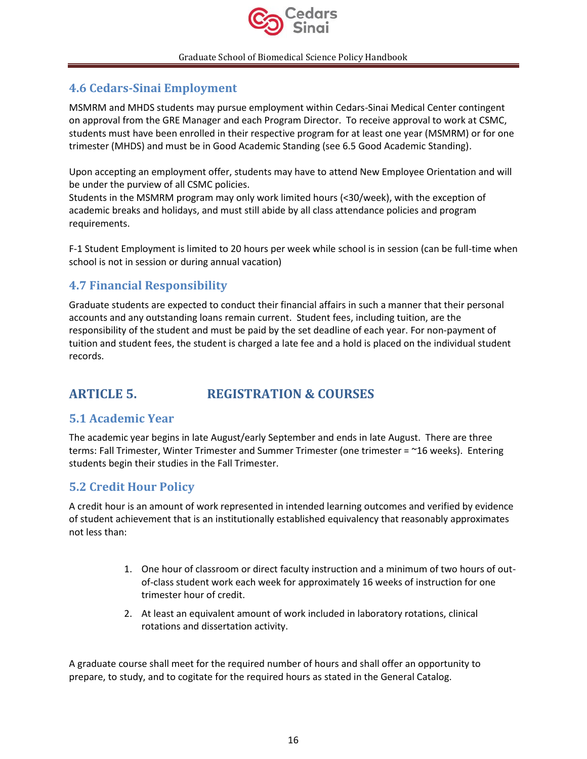

# <span id="page-15-0"></span>**4.6 Cedars-Sinai Employment**

MSMRM and MHDS students may pursue employment within Cedars-Sinai Medical Center contingent on approval from the GRE Manager and each Program Director. To receive approval to work at CSMC, students must have been enrolled in their respective program for at least one year (MSMRM) or for one trimester (MHDS) and must be in Good Academic Standing (see 6.5 Good Academic Standing).

Upon accepting an employment offer, students may have to attend New Employee Orientation and will be under the purview of all CSMC policies.

Students in the MSMRM program may only work limited hours (<30/week), with the exception of academic breaks and holidays, and must still abide by all class attendance policies and program requirements.

F-1 Student Employment is limited to 20 hours per week while school is in session (can be full-time when school is not in session or during annual vacation)

# <span id="page-15-1"></span>**4.7 Financial Responsibility**

Graduate students are expected to conduct their financial affairs in such a manner that their personal accounts and any outstanding loans remain current. Student fees, including tuition, are the responsibility of the student and must be paid by the set deadline of each year. For non-payment of tuition and student fees, the student is charged a late fee and a hold is placed on the individual student records.

# <span id="page-15-2"></span>**ARTICLE 5. REGISTRATION & COURSES**

# <span id="page-15-3"></span>**5.1 Academic Year**

The academic year begins in late August/early September and ends in late August. There are three terms: Fall Trimester, Winter Trimester and Summer Trimester (one trimester = ~16 weeks). Entering students begin their studies in the Fall Trimester.

# <span id="page-15-4"></span>**5.2 Credit Hour Policy**

A credit hour is an amount of work represented in intended learning outcomes and verified by evidence of student achievement that is an institutionally established equivalency that reasonably approximates not less than:

- 1. One hour of classroom or direct faculty instruction and a minimum of two hours of outof-class student work each week for approximately 16 weeks of instruction for one trimester hour of credit.
- 2. At least an equivalent amount of work included in laboratory rotations, clinical rotations and dissertation activity.

A graduate course shall meet for the required number of hours and shall offer an opportunity to prepare, to study, and to cogitate for the required hours as stated in the General Catalog.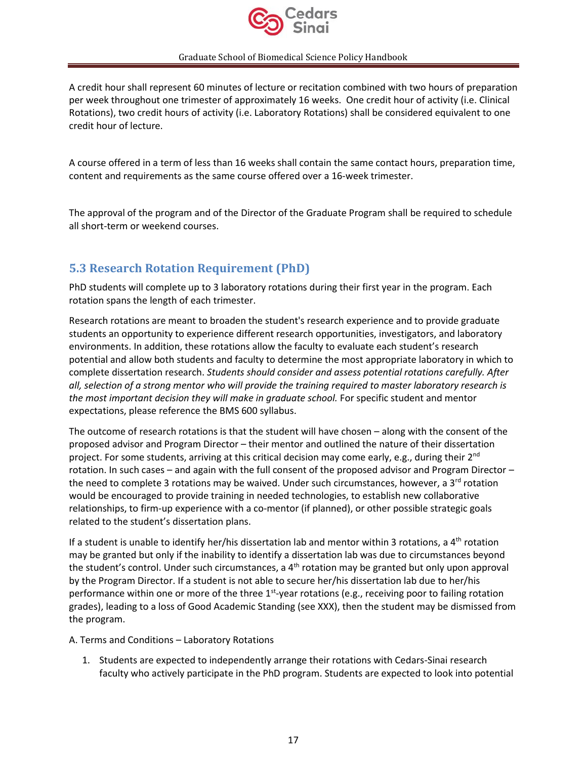

A credit hour shall represent 60 minutes of lecture or recitation combined with two hours of preparation per week throughout one trimester of approximately 16 weeks. One credit hour of activity (i.e. Clinical Rotations), two credit hours of activity (i.e. Laboratory Rotations) shall be considered equivalent to one credit hour of lecture.

A course offered in a term of less than 16 weeks shall contain the same contact hours, preparation time, content and requirements as the same course offered over a 16-week trimester.

The approval of the program and of the Director of the Graduate Program shall be required to schedule all short-term or weekend courses.

# <span id="page-16-0"></span>**5.3 Research Rotation Requirement (PhD)**

PhD students will complete up to 3 laboratory rotations during their first year in the program. Each rotation spans the length of each trimester.

Research rotations are meant to broaden the student's research experience and to provide graduate students an opportunity to experience different research opportunities, investigators, and laboratory environments. In addition, these rotations allow the faculty to evaluate each student's research potential and allow both students and faculty to determine the most appropriate laboratory in which to complete dissertation research. *Students should consider and assess potential rotations carefully. After all, selection of a strong mentor who will provide the training required to master laboratory research is the most important decision they will make in graduate school.* For specific student and mentor expectations, please reference the BMS 600 syllabus.

The outcome of research rotations is that the student will have chosen – along with the consent of the proposed advisor and Program Director – their mentor and outlined the nature of their dissertation project. For some students, arriving at this critical decision may come early, e.g., during their  $2^{nd}$ rotation. In such cases – and again with the full consent of the proposed advisor and Program Director – the need to complete 3 rotations may be waived. Under such circumstances, however, a  $3^{rd}$  rotation would be encouraged to provide training in needed technologies, to establish new collaborative relationships, to firm-up experience with a co-mentor (if planned), or other possible strategic goals related to the student's dissertation plans.

If a student is unable to identify her/his dissertation lab and mentor within 3 rotations, a  $4<sup>th</sup>$  rotation may be granted but only if the inability to identify a dissertation lab was due to circumstances beyond the student's control. Under such circumstances, a  $4<sup>th</sup>$  rotation may be granted but only upon approval by the Program Director. If a student is not able to secure her/his dissertation lab due to her/his performance within one or more of the three 1<sup>st</sup>-year rotations (e.g., receiving poor to failing rotation grades), leading to a loss of Good Academic Standing (see XXX), then the student may be dismissed from the program.

### A. Terms and Conditions – Laboratory Rotations

1. Students are expected to independently arrange their rotations with Cedars-Sinai research faculty who actively participate in the PhD program. Students are expected to look into potential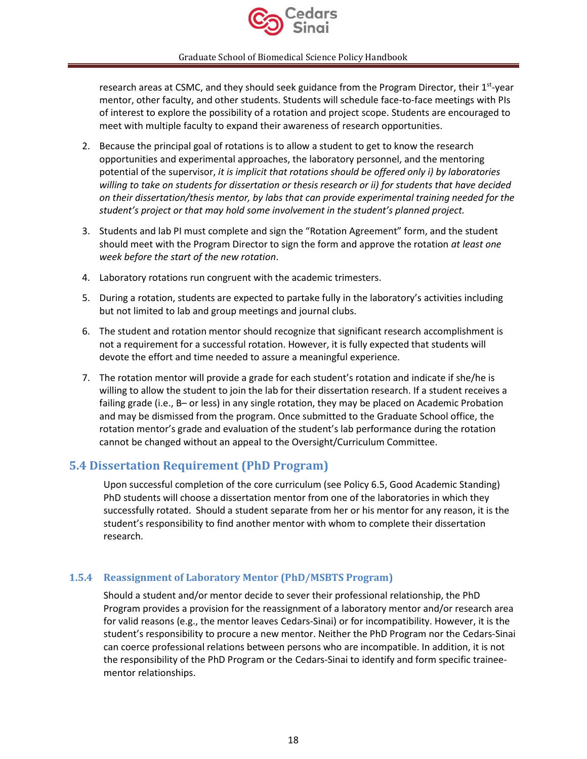

research areas at CSMC, and they should seek guidance from the Program Director, their 1<sup>st</sup>-year mentor, other faculty, and other students. Students will schedule face-to-face meetings with PIs of interest to explore the possibility of a rotation and project scope. Students are encouraged to meet with multiple faculty to expand their awareness of research opportunities.

- 2. Because the principal goal of rotations is to allow a student to get to know the research opportunities and experimental approaches, the laboratory personnel, and the mentoring potential of the supervisor, *it is implicit that rotations should be offered only i) by laboratories willing to take on students for dissertation or thesis research or ii) for students that have decided on their dissertation/thesis mentor, by labs that can provide experimental training needed for the student's project or that may hold some involvement in the student's planned project.*
- 3. Students and lab PI must complete and sign the "Rotation Agreement" form, and the student should meet with the Program Director to sign the form and approve the rotation *at least one week before the start of the new rotation*.
- 4. Laboratory rotations run congruent with the academic trimesters.
- 5. During a rotation, students are expected to partake fully in the laboratory's activities including but not limited to lab and group meetings and journal clubs.
- 6. The student and rotation mentor should recognize that significant research accomplishment is not a requirement for a successful rotation. However, it is fully expected that students will devote the effort and time needed to assure a meaningful experience.
- 7. The rotation mentor will provide a grade for each student's rotation and indicate if she/he is willing to allow the student to join the lab for their dissertation research. If a student receives a failing grade (i.e., B– or less) in any single rotation, they may be placed on Academic Probation and may be dismissed from the program. Once submitted to the Graduate School office, the rotation mentor's grade and evaluation of the student's lab performance during the rotation cannot be changed without an appeal to the Oversight/Curriculum Committee.

# <span id="page-17-0"></span>**5.4 Dissertation Requirement (PhD Program)**

Upon successful completion of the core curriculum (see Policy 6.5, Good Academic Standing) PhD students will choose a dissertation mentor from one of the laboratories in which they successfully rotated. Should a student separate from her or his mentor for any reason, it is the student's responsibility to find another mentor with whom to complete their dissertation research.

### <span id="page-17-1"></span>**1.5.4 Reassignment of Laboratory Mentor (PhD/MSBTS Program)**

Should a student and/or mentor decide to sever their professional relationship, the PhD Program provides a provision for the reassignment of a laboratory mentor and/or research area for valid reasons (e.g., the mentor leaves Cedars-Sinai) or for incompatibility. However, it is the student's responsibility to procure a new mentor. Neither the PhD Program nor the Cedars-Sinai can coerce professional relations between persons who are incompatible. In addition, it is not the responsibility of the PhD Program or the Cedars-Sinai to identify and form specific traineementor relationships.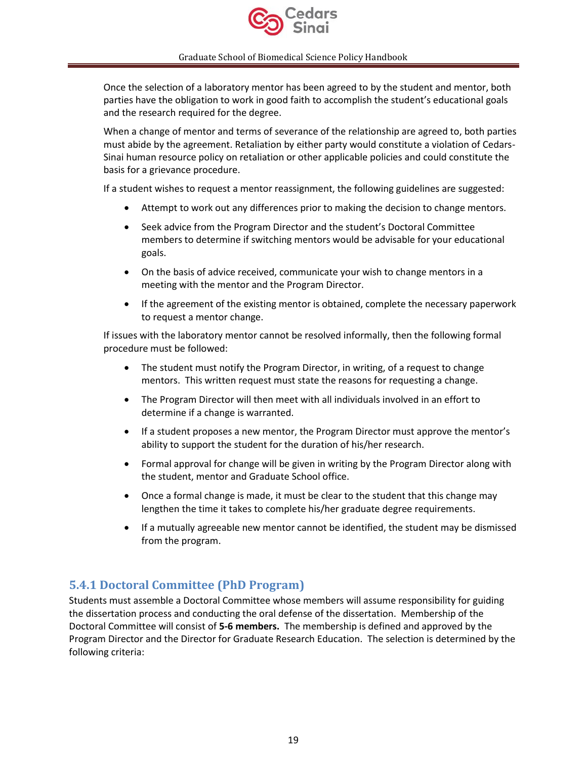

Once the selection of a laboratory mentor has been agreed to by the student and mentor, both parties have the obligation to work in good faith to accomplish the student's educational goals and the research required for the degree.

When a change of mentor and terms of severance of the relationship are agreed to, both parties must abide by the agreement. Retaliation by either party would constitute a violation of Cedars-Sinai human resource policy on retaliation or other applicable policies and could constitute the basis for a grievance procedure.

If a student wishes to request a mentor reassignment, the following guidelines are suggested:

- Attempt to work out any differences prior to making the decision to change mentors.
- Seek advice from the Program Director and the student's Doctoral Committee members to determine if switching mentors would be advisable for your educational goals.
- On the basis of advice received, communicate your wish to change mentors in a meeting with the mentor and the Program Director.
- If the agreement of the existing mentor is obtained, complete the necessary paperwork to request a mentor change.

If issues with the laboratory mentor cannot be resolved informally, then the following formal procedure must be followed:

- The student must notify the Program Director, in writing, of a request to change mentors. This written request must state the reasons for requesting a change.
- The Program Director will then meet with all individuals involved in an effort to determine if a change is warranted.
- If a student proposes a new mentor, the Program Director must approve the mentor's ability to support the student for the duration of his/her research.
- Formal approval for change will be given in writing by the Program Director along with the student, mentor and Graduate School office.
- Once a formal change is made, it must be clear to the student that this change may lengthen the time it takes to complete his/her graduate degree requirements.
- If a mutually agreeable new mentor cannot be identified, the student may be dismissed from the program.

# <span id="page-18-0"></span>**5.4.1 Doctoral Committee (PhD Program)**

Students must assemble a Doctoral Committee whose members will assume responsibility for guiding the dissertation process and conducting the oral defense of the dissertation. Membership of the Doctoral Committee will consist of **5-6 members.** The membership is defined and approved by the Program Director and the Director for Graduate Research Education. The selection is determined by the following criteria: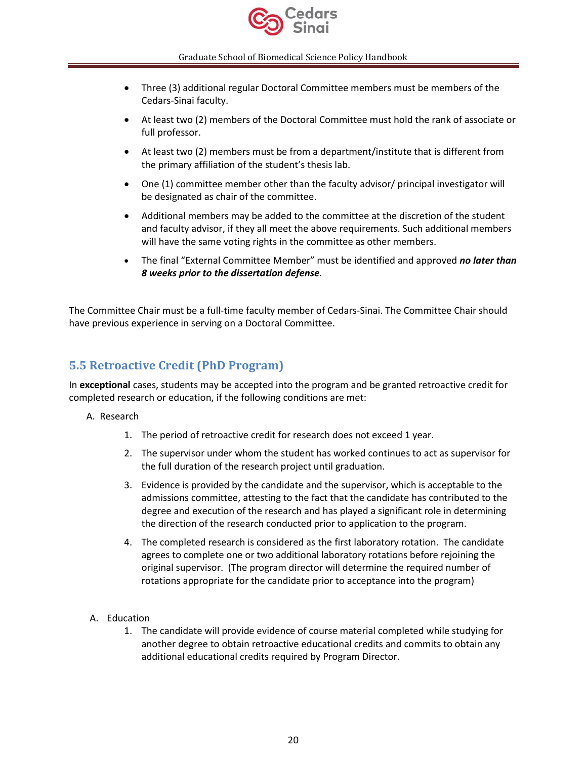

- Three (3) additional regular Doctoral Committee members must be members of the Cedars-Sinai faculty.
- At least two (2) members of the Doctoral Committee must hold the rank of associate or full professor.
- At least two (2) members must be from a department/institute that is different from the primary affiliation of the student's thesis lab.
- One (1) committee member other than the faculty advisor/ principal investigator will be designated as chair of the committee.
- Additional members may be added to the committee at the discretion of the student and faculty advisor, if they all meet the above requirements. Such additional members will have the same voting rights in the committee as other members.
- The final "External Committee Member" must be identified and approved *no later than 8 weeks prior to the dissertation defense*.

The Committee Chair must be a full-time faculty member of Cedars-Sinai. The Committee Chair should have previous experience in serving on a Doctoral Committee.

# <span id="page-19-0"></span>**5.5 Retroactive Credit (PhD Program)**

In **exceptional** cases, students may be accepted into the program and be granted retroactive credit for completed research or education, if the following conditions are met:

### A. Research

- 1. The period of retroactive credit for research does not exceed 1 year.
- 2. The supervisor under whom the student has worked continues to act as supervisor for the full duration of the research project until graduation.
- 3. Evidence is provided by the candidate and the supervisor, which is acceptable to the admissions committee, attesting to the fact that the candidate has contributed to the degree and execution of the research and has played a significant role in determining the direction of the research conducted prior to application to the program.
- 4. The completed research is considered as the first laboratory rotation. The candidate agrees to complete one or two additional laboratory rotations before rejoining the original supervisor. (The program director will determine the required number of rotations appropriate for the candidate prior to acceptance into the program)
- A. Education
	- 1. The candidate will provide evidence of course material completed while studying for another degree to obtain retroactive educational credits and commits to obtain any additional educational credits required by Program Director.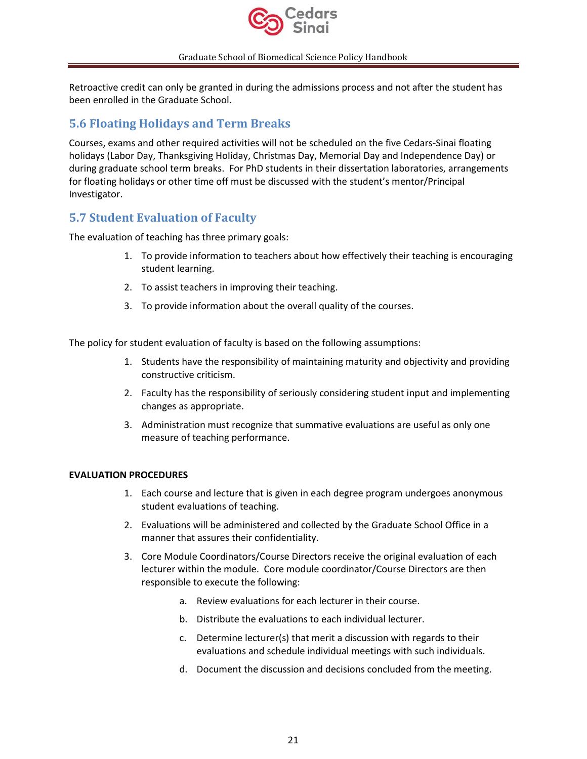

Retroactive credit can only be granted in during the admissions process and not after the student has been enrolled in the Graduate School.

## <span id="page-20-0"></span>**5.6 Floating Holidays and Term Breaks**

Courses, exams and other required activities will not be scheduled on the five Cedars-Sinai floating holidays (Labor Day, Thanksgiving Holiday, Christmas Day, Memorial Day and Independence Day) or during graduate school term breaks. For PhD students in their dissertation laboratories, arrangements for floating holidays or other time off must be discussed with the student's mentor/Principal Investigator.

# <span id="page-20-1"></span>**5.7 Student Evaluation of Faculty**

The evaluation of teaching has three primary goals:

- 1. To provide information to teachers about how effectively their teaching is encouraging student learning.
- 2. To assist teachers in improving their teaching.
- 3. To provide information about the overall quality of the courses.

The policy for student evaluation of faculty is based on the following assumptions:

- 1. Students have the responsibility of maintaining maturity and objectivity and providing constructive criticism.
- 2. Faculty has the responsibility of seriously considering student input and implementing changes as appropriate.
- 3. Administration must recognize that summative evaluations are useful as only one measure of teaching performance.

### **EVALUATION PROCEDURES**

- 1. Each course and lecture that is given in each degree program undergoes anonymous student evaluations of teaching.
- 2. Evaluations will be administered and collected by the Graduate School Office in a manner that assures their confidentiality.
- 3. Core Module Coordinators/Course Directors receive the original evaluation of each lecturer within the module. Core module coordinator/Course Directors are then responsible to execute the following:
	- a. Review evaluations for each lecturer in their course.
	- b. Distribute the evaluations to each individual lecturer.
	- c. Determine lecturer(s) that merit a discussion with regards to their evaluations and schedule individual meetings with such individuals.
	- d. Document the discussion and decisions concluded from the meeting.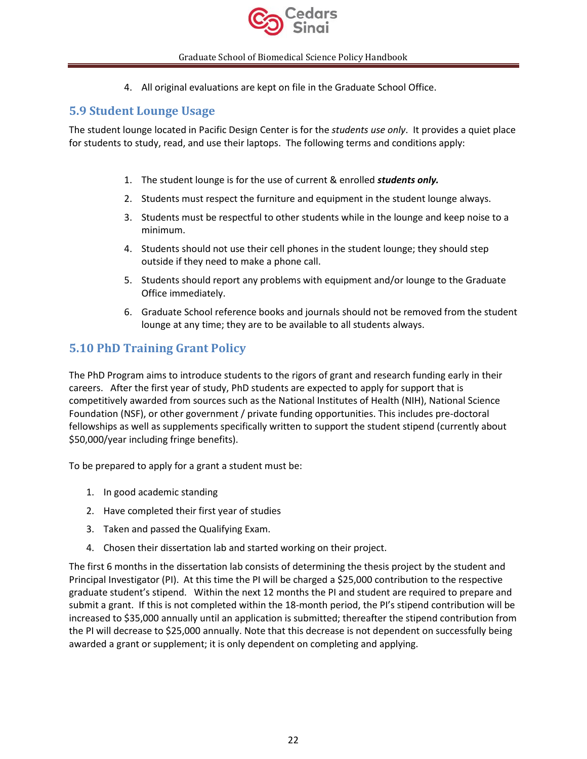

4. All original evaluations are kept on file in the Graduate School Office.

### <span id="page-21-0"></span>**5.9 Student Lounge Usage**

The student lounge located in Pacific Design Center is for the *students use only*. It provides a quiet place for students to study, read, and use their laptops. The following terms and conditions apply:

- 1. The student lounge is for the use of current & enrolled *students only.*
- 2. Students must respect the furniture and equipment in the student lounge always.
- 3. Students must be respectful to other students while in the lounge and keep noise to a minimum.
- 4. Students should not use their cell phones in the student lounge; they should step outside if they need to make a phone call.
- 5. Students should report any problems with equipment and/or lounge to the Graduate Office immediately.
- 6. Graduate School reference books and journals should not be removed from the student lounge at any time; they are to be available to all students always.

# <span id="page-21-1"></span>**5.10 PhD Training Grant Policy**

The PhD Program aims to introduce students to the rigors of grant and research funding early in their careers. After the first year of study, PhD students are expected to apply for support that is competitively awarded from sources such as the National Institutes of Health (NIH), National Science Foundation (NSF), or other government / private funding opportunities. This includes pre-doctoral fellowships as well as supplements specifically written to support the student stipend (currently about \$50,000/year including fringe benefits).

To be prepared to apply for a grant a student must be:

- 1. In good academic standing
- 2. Have completed their first year of studies
- 3. Taken and passed the Qualifying Exam.
- 4. Chosen their dissertation lab and started working on their project.

The first 6 months in the dissertation lab consists of determining the thesis project by the student and Principal Investigator (PI). At this time the PI will be charged a \$25,000 contribution to the respective graduate student's stipend. Within the next 12 months the PI and student are required to prepare and submit a grant. If this is not completed within the 18-month period, the PI's stipend contribution will be increased to \$35,000 annually until an application is submitted; thereafter the stipend contribution from the PI will decrease to \$25,000 annually. Note that this decrease is not dependent on successfully being awarded a grant or supplement; it is only dependent on completing and applying.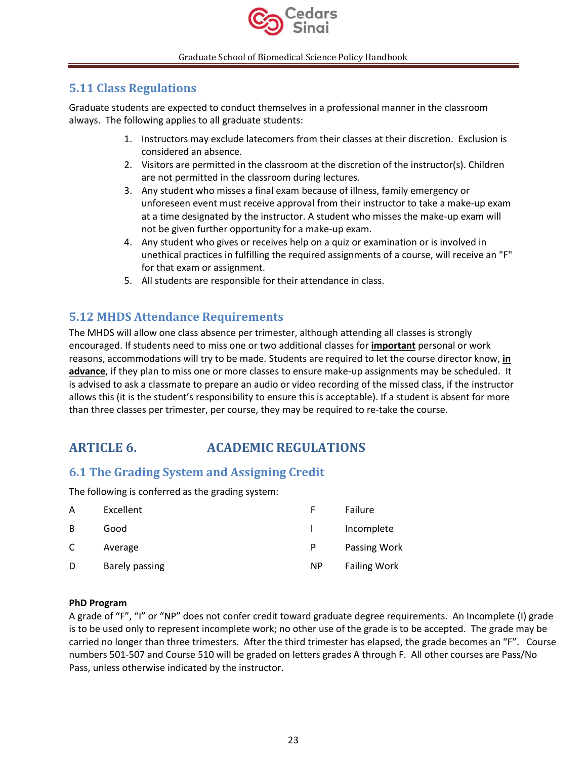

# <span id="page-22-0"></span>**5.11 Class Regulations**

Graduate students are expected to conduct themselves in a professional manner in the classroom always. The following applies to all graduate students:

- 1. Instructors may exclude latecomers from their classes at their discretion. Exclusion is considered an absence.
- 2. Visitors are permitted in the classroom at the discretion of the instructor(s). Children are not permitted in the classroom during lectures.
- 3. Any student who misses a final exam because of illness, family emergency or unforeseen event must receive approval from their instructor to take a make-up exam at a time designated by the instructor. A student who misses the make-up exam will not be given further opportunity for a make-up exam.
- 4. Any student who gives or receives help on a quiz or examination or is involved in unethical practices in fulfilling the required assignments of a course, will receive an "F" for that exam or assignment.
- 5. All students are responsible for their attendance in class.

# <span id="page-22-1"></span>**5.12 MHDS Attendance Requirements**

The MHDS will allow one class absence per trimester, although attending all classes is strongly encouraged. If students need to miss one or two additional classes for **important** personal or work reasons, accommodations will try to be made. Students are required to let the course director know, **in advance**, if they plan to miss one or more classes to ensure make-up assignments may be scheduled. It is advised to ask a classmate to prepare an audio or video recording of the missed class, if the instructor allows this (it is the student's responsibility to ensure this is acceptable). If a student is absent for more than three classes per trimester, per course, they may be required to re-take the course.

# <span id="page-22-2"></span>**ARTICLE 6. ACADEMIC REGULATIONS**

# <span id="page-22-3"></span>**6.1 The Grading System and Assigning Credit**

The following is conferred as the grading system:

| A | Excellent      |           | Failure             |
|---|----------------|-----------|---------------------|
| B | Good           |           | Incomplete          |
| C | Average        | P         | Passing Work        |
| D | Barely passing | <b>NP</b> | <b>Failing Work</b> |

### **PhD Program**

A grade of "F", "I" or "NP" does not confer credit toward graduate degree requirements. An Incomplete (I) grade is to be used only to represent incomplete work; no other use of the grade is to be accepted. The grade may be carried no longer than three trimesters. After the third trimester has elapsed, the grade becomes an "F". Course numbers 501-507 and Course 510 will be graded on letters grades A through F. All other courses are Pass/No Pass, unless otherwise indicated by the instructor.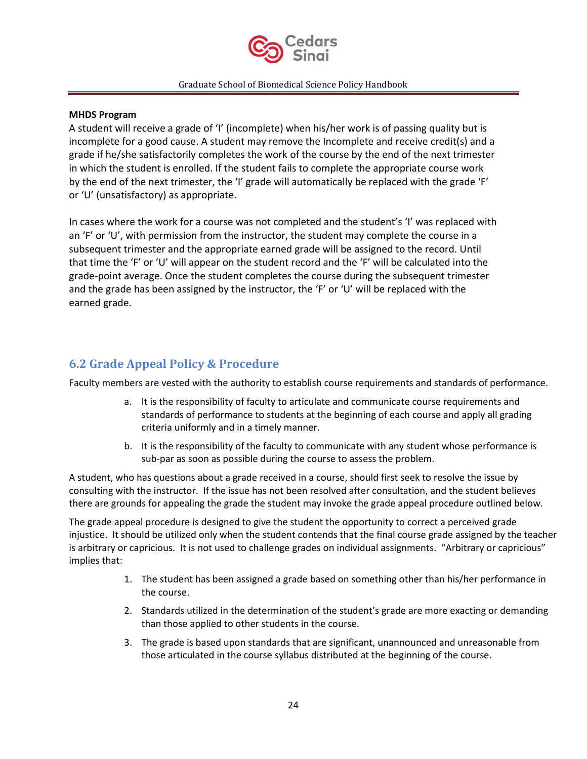

### **MHDS Program**

A student will receive a grade of 'I' (incomplete) when his/her work is of passing quality but is incomplete for a good cause. A student may remove the Incomplete and receive credit(s) and a grade if he/she satisfactorily completes the work of the course by the end of the next trimester in which the student is enrolled. If the student fails to complete the appropriate course work by the end of the next trimester, the 'I' grade will automatically be replaced with the grade 'F' or 'U' (unsatisfactory) as appropriate.

In cases where the work for a course was not completed and the student's 'I' was replaced with an 'F' or 'U', with permission from the instructor, the student may complete the course in a subsequent trimester and the appropriate earned grade will be assigned to the record. Until that time the 'F' or 'U' will appear on the student record and the 'F' will be calculated into the grade‐point average. Once the student completes the course during the subsequent trimester and the grade has been assigned by the instructor, the 'F' or 'U' will be replaced with the earned grade.

# <span id="page-23-0"></span>**6.2 Grade Appeal Policy & Procedure**

Faculty members are vested with the authority to establish course requirements and standards of performance.

- a. It is the responsibility of faculty to articulate and communicate course requirements and standards of performance to students at the beginning of each course and apply all grading criteria uniformly and in a timely manner.
- b. It is the responsibility of the faculty to communicate with any student whose performance is sub-par as soon as possible during the course to assess the problem.

A student, who has questions about a grade received in a course, should first seek to resolve the issue by consulting with the instructor. If the issue has not been resolved after consultation, and the student believes there are grounds for appealing the grade the student may invoke the grade appeal procedure outlined below.

The grade appeal procedure is designed to give the student the opportunity to correct a perceived grade injustice. It should be utilized only when the student contends that the final course grade assigned by the teacher is arbitrary or capricious. It is not used to challenge grades on individual assignments. "Arbitrary or capricious" implies that:

- 1. The student has been assigned a grade based on something other than his/her performance in the course.
- 2. Standards utilized in the determination of the student's grade are more exacting or demanding than those applied to other students in the course.
- 3. The grade is based upon standards that are significant, unannounced and unreasonable from those articulated in the course syllabus distributed at the beginning of the course.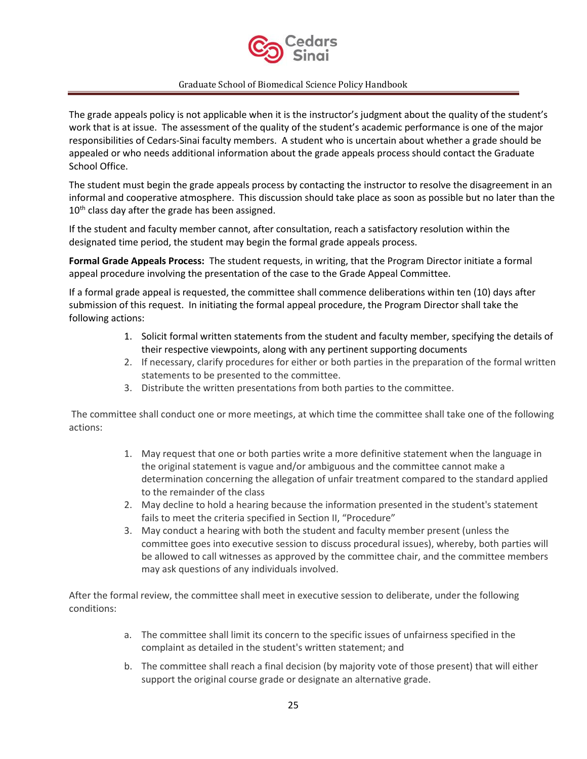

The grade appeals policy is not applicable when it is the instructor's judgment about the quality of the student's work that is at issue. The assessment of the quality of the student's academic performance is one of the major responsibilities of Cedars-Sinai faculty members. A student who is uncertain about whether a grade should be appealed or who needs additional information about the grade appeals process should contact the Graduate School Office.

The student must begin the grade appeals process by contacting the instructor to resolve the disagreement in an informal and cooperative atmosphere. This discussion should take place as soon as possible but no later than the  $10<sup>th</sup>$  class day after the grade has been assigned.

If the student and faculty member cannot, after consultation, reach a satisfactory resolution within the designated time period, the student may begin the formal grade appeals process.

**Formal Grade Appeals Process:** The student requests, in writing, that the Program Director initiate a formal appeal procedure involving the presentation of the case to the Grade Appeal Committee.

If a formal grade appeal is requested, the committee shall commence deliberations within ten (10) days after submission of this request. In initiating the formal appeal procedure, the Program Director shall take the following actions:

- 1. Solicit formal written statements from the student and faculty member, specifying the details of their respective viewpoints, along with any pertinent supporting documents
- 2. If necessary, clarify procedures for either or both parties in the preparation of the formal written statements to be presented to the committee.
- 3. Distribute the written presentations from both parties to the committee.

The committee shall conduct one or more meetings, at which time the committee shall take one of the following actions:

- 1. May request that one or both parties write a more definitive statement when the language in the original statement is vague and/or ambiguous and the committee cannot make a determination concerning the allegation of unfair treatment compared to the standard applied to the remainder of the class
- 2. May decline to hold a hearing because the information presented in the student's statement fails to meet the criteria specified in Section II, "Procedure"
- 3. May conduct a hearing with both the student and faculty member present (unless the committee goes into executive session to discuss procedural issues), whereby, both parties will be allowed to call witnesses as approved by the committee chair, and the committee members may ask questions of any individuals involved.

After the formal review, the committee shall meet in executive session to deliberate, under the following conditions:

- a. The committee shall limit its concern to the specific issues of unfairness specified in the complaint as detailed in the student's written statement; and
- b. The committee shall reach a final decision (by majority vote of those present) that will either support the original course grade or designate an alternative grade.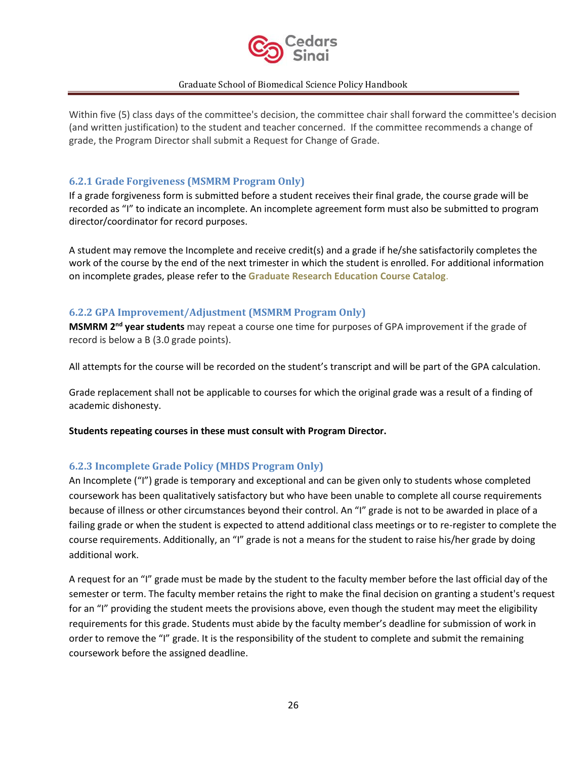

Within five (5) class days of the committee's decision, the committee chair shall forward the committee's decision (and written justification) to the student and teacher concerned. If the committee recommends a change of grade, the Program Director shall submit a Request for Change of Grade.

### <span id="page-25-0"></span>**6.2.1 Grade Forgiveness (MSMRM Program Only)**

If a grade forgiveness form is submitted before a student receives their final grade, the course grade will be recorded as "I" to indicate an incomplete. An incomplete agreement form must also be submitted to program director/coordinator for record purposes.

A student may remove the Incomplete and receive credit(s) and a grade if he/she satisfactorily completes the work of the course by the end of the next trimester in which the student is enrolled. For additional information on incomplete grades, please refer to the **Graduate Research Education Course Catalog**.

### <span id="page-25-1"></span>**6.2.2 GPA Improvement/Adjustment (MSMRM Program Only)**

**MSMRM 2nd year students** may repeat a course one time for purposes of GPA improvement if the grade of record is below a B (3.0 grade points).

All attempts for the course will be recorded on the student's transcript and will be part of the GPA calculation.

Grade replacement shall not be applicable to courses for which the original grade was a result of a finding of academic dishonesty.

**Students repeating courses in these must consult with Program Director.** 

### <span id="page-25-2"></span>**6.2.3 Incomplete Grade Policy (MHDS Program Only)**

An Incomplete ("I") grade is temporary and exceptional and can be given only to students whose completed coursework has been qualitatively satisfactory but who have been unable to complete all course requirements because of illness or other circumstances beyond their control. An "I" grade is not to be awarded in place of a failing grade or when the student is expected to attend additional class meetings or to re-register to complete the course requirements. Additionally, an "I" grade is not a means for the student to raise his/her grade by doing additional work.

A request for an "I" grade must be made by the student to the faculty member before the last official day of the semester or term. The faculty member retains the right to make the final decision on granting a student's request for an "I" providing the student meets the provisions above, even though the student may meet the eligibility requirements for this grade. Students must abide by the faculty member's deadline for submission of work in order to remove the "I" grade. It is the responsibility of the student to complete and submit the remaining coursework before the assigned deadline.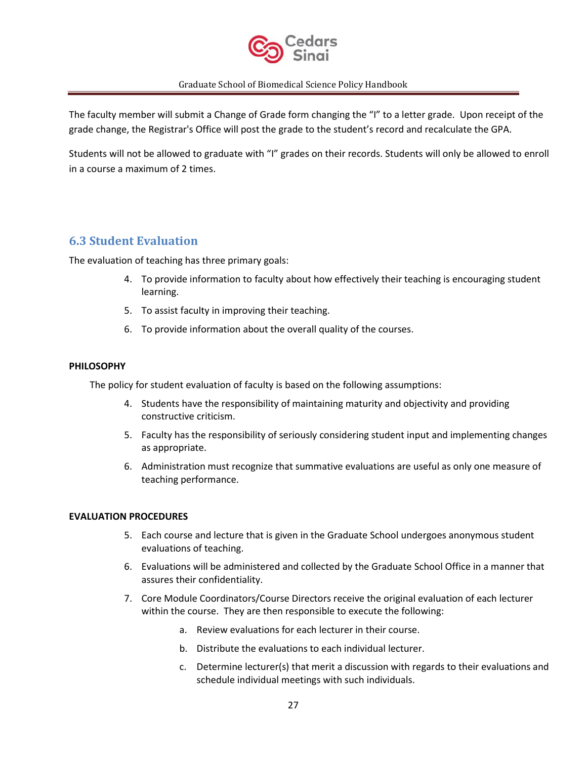

The faculty member will submit a Change of Grade form changing the "I" to a letter grade. Upon receipt of the grade change, the Registrar's Office will post the grade to the student's record and recalculate the GPA.

Students will not be allowed to graduate with "I" grades on their records. Students will only be allowed to enroll in a course a maximum of 2 times.

# <span id="page-26-0"></span>**6.3 Student Evaluation**

The evaluation of teaching has three primary goals:

- 4. To provide information to faculty about how effectively their teaching is encouraging student learning.
- 5. To assist faculty in improving their teaching.
- 6. To provide information about the overall quality of the courses.

### **PHILOSOPHY**

The policy for student evaluation of faculty is based on the following assumptions:

- 4. Students have the responsibility of maintaining maturity and objectivity and providing constructive criticism.
- 5. Faculty has the responsibility of seriously considering student input and implementing changes as appropriate.
- 6. Administration must recognize that summative evaluations are useful as only one measure of teaching performance.

### **EVALUATION PROCEDURES**

- 5. Each course and lecture that is given in the Graduate School undergoes anonymous student evaluations of teaching.
- 6. Evaluations will be administered and collected by the Graduate School Office in a manner that assures their confidentiality.
- 7. Core Module Coordinators/Course Directors receive the original evaluation of each lecturer within the course. They are then responsible to execute the following:
	- a. Review evaluations for each lecturer in their course.
	- b. Distribute the evaluations to each individual lecturer.
	- c. Determine lecturer(s) that merit a discussion with regards to their evaluations and schedule individual meetings with such individuals.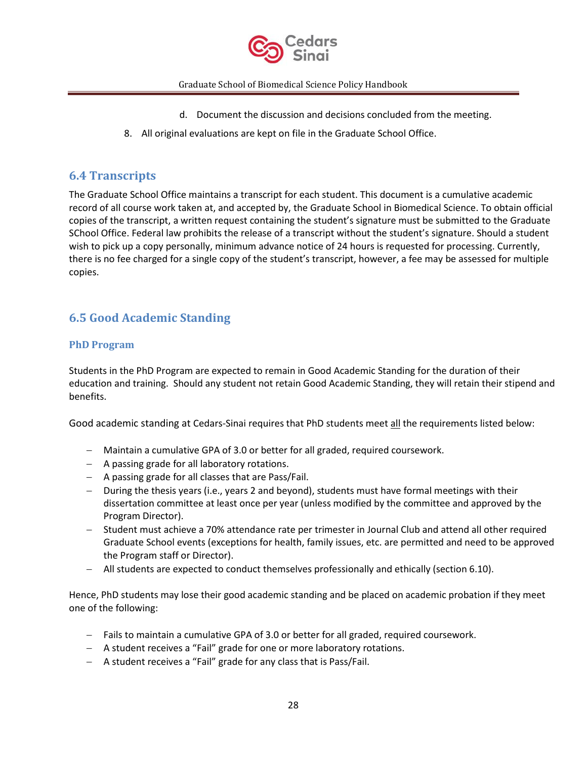

- d. Document the discussion and decisions concluded from the meeting.
- 8. All original evaluations are kept on file in the Graduate School Office.

# <span id="page-27-0"></span>**6.4 Transcripts**

The Graduate School Office maintains a transcript for each student. This document is a cumulative academic record of all course work taken at, and accepted by, the Graduate School in Biomedical Science. To obtain official copies of the transcript, a written request containing the student's signature must be submitted to the Graduate SChool Office. Federal law prohibits the release of a transcript without the student's signature. Should a student wish to pick up a copy personally, minimum advance notice of 24 hours is requested for processing. Currently, there is no fee charged for a single copy of the student's transcript, however, a fee may be assessed for multiple copies.

# <span id="page-27-1"></span>**6.5 Good Academic Standing**

### <span id="page-27-2"></span>**PhD Program**

Students in the PhD Program are expected to remain in Good Academic Standing for the duration of their education and training. Should any student not retain Good Academic Standing, they will retain their stipend and benefits.

Good academic standing at Cedars-Sinai requires that PhD students meet all the requirements listed below:

- − Maintain a cumulative GPA of 3.0 or better for all graded, required coursework.
- − A passing grade for all laboratory rotations.
- − A passing grade for all classes that are Pass/Fail.
- − During the thesis years (i.e., years 2 and beyond), students must have formal meetings with their dissertation committee at least once per year (unless modified by the committee and approved by the Program Director).
- − Student must achieve a 70% attendance rate per trimester in Journal Club and attend all other required Graduate School events (exceptions for health, family issues, etc. are permitted and need to be approved the Program staff or Director).
- − All students are expected to conduct themselves professionally and ethically (section 6.10).

Hence, PhD students may lose their good academic standing and be placed on academic probation if they meet one of the following:

- − Fails to maintain a cumulative GPA of 3.0 or better for all graded, required coursework.
- − A student receives a "Fail" grade for one or more laboratory rotations.
- − A student receives a "Fail" grade for any class that is Pass/Fail.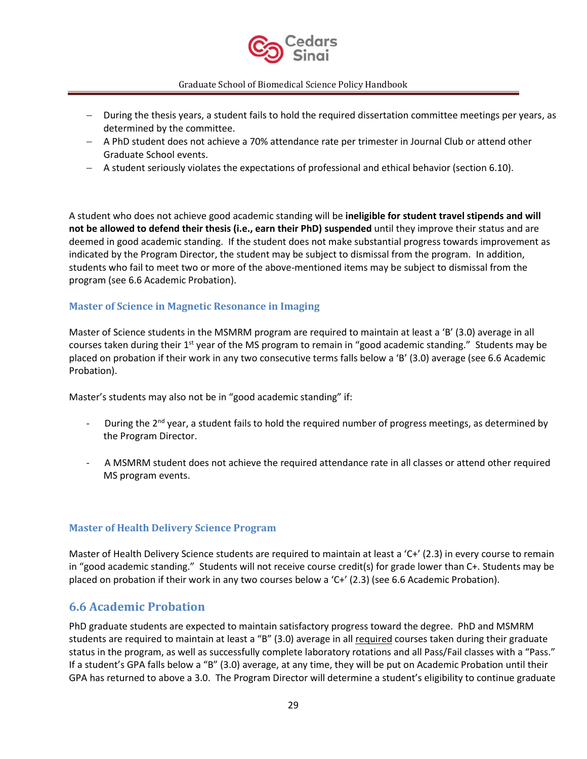

- − During the thesis years, a student fails to hold the required dissertation committee meetings per years, as determined by the committee.
- − A PhD student does not achieve a 70% attendance rate per trimester in Journal Club or attend other Graduate School events.
- − A student seriously violates the expectations of professional and ethical behavior (section 6.10).

A student who does not achieve good academic standing will be **ineligible for student travel stipends and will not be allowed to defend their thesis (i.e., earn their PhD) suspended** until they improve their status and are deemed in good academic standing. If the student does not make substantial progress towards improvement as indicated by the Program Director, the student may be subject to dismissal from the program. In addition, students who fail to meet two or more of the above-mentioned items may be subject to dismissal from the program (see 6.6 Academic Probation).

### <span id="page-28-0"></span>**Master of Science in Magnetic Resonance in Imaging**

Master of Science students in the MSMRM program are required to maintain at least a 'B' (3.0) average in all courses taken during their 1<sup>st</sup> year of the MS program to remain in "good academic standing." Students may be placed on probation if their work in any two consecutive terms falls below a 'B' (3.0) average (see 6.6 Academic Probation).

Master's students may also not be in "good academic standing" if:

- During the 2<sup>nd</sup> year, a student fails to hold the required number of progress meetings, as determined by the Program Director.
- A MSMRM student does not achieve the required attendance rate in all classes or attend other required MS program events.

### <span id="page-28-1"></span>**Master of Health Delivery Science Program**

Master of Health Delivery Science students are required to maintain at least a 'C+' (2.3) in every course to remain in "good academic standing." Students will not receive course credit(s) for grade lower than C+. Students may be placed on probation if their work in any two courses below a 'C+' (2.3) (see 6.6 Academic Probation).

### <span id="page-28-2"></span>**6.6 Academic Probation**

PhD graduate students are expected to maintain satisfactory progress toward the degree. PhD and MSMRM students are required to maintain at least a "B" (3.0) average in all required courses taken during their graduate status in the program, as well as successfully complete laboratory rotations and all Pass/Fail classes with a "Pass." If a student's GPA falls below a "B" (3.0) average, at any time, they will be put on Academic Probation until their GPA has returned to above a 3.0. The Program Director will determine a student's eligibility to continue graduate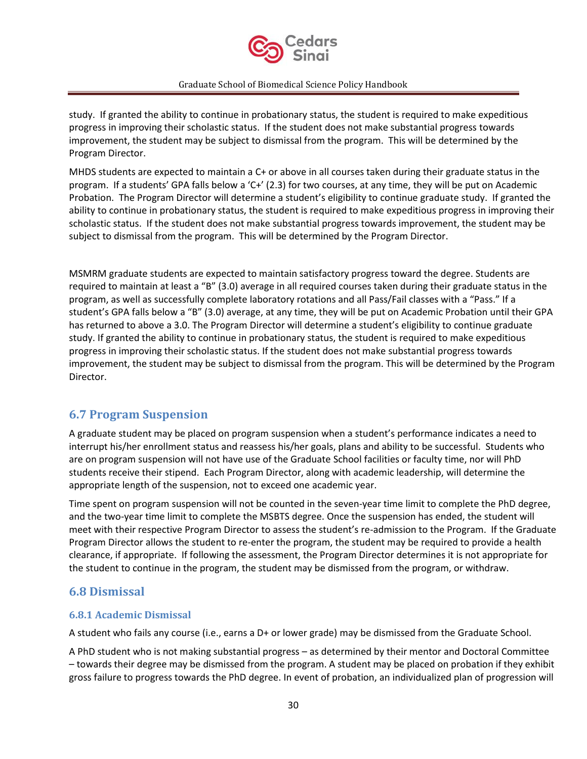

study. If granted the ability to continue in probationary status, the student is required to make expeditious progress in improving their scholastic status. If the student does not make substantial progress towards improvement, the student may be subject to dismissal from the program. This will be determined by the Program Director.

MHDS students are expected to maintain a C+ or above in all courses taken during their graduate status in the program. If a students' GPA falls below a 'C+' (2.3) for two courses, at any time, they will be put on Academic Probation. The Program Director will determine a student's eligibility to continue graduate study. If granted the ability to continue in probationary status, the student is required to make expeditious progress in improving their scholastic status. If the student does not make substantial progress towards improvement, the student may be subject to dismissal from the program. This will be determined by the Program Director.

MSMRM graduate students are expected to maintain satisfactory progress toward the degree. Students are required to maintain at least a "B" (3.0) average in all required courses taken during their graduate status in the program, as well as successfully complete laboratory rotations and all Pass/Fail classes with a "Pass." If a student's GPA falls below a "B" (3.0) average, at any time, they will be put on Academic Probation until their GPA has returned to above a 3.0. The Program Director will determine a student's eligibility to continue graduate study. If granted the ability to continue in probationary status, the student is required to make expeditious progress in improving their scholastic status. If the student does not make substantial progress towards improvement, the student may be subject to dismissal from the program. This will be determined by the Program Director.

# <span id="page-29-0"></span>**6.7 Program Suspension**

A graduate student may be placed on program suspension when a student's performance indicates a need to interrupt his/her enrollment status and reassess his/her goals, plans and ability to be successful. Students who are on program suspension will not have use of the Graduate School facilities or faculty time, nor will PhD students receive their stipend. Each Program Director, along with academic leadership, will determine the appropriate length of the suspension, not to exceed one academic year.

Time spent on program suspension will not be counted in the seven-year time limit to complete the PhD degree, and the two-year time limit to complete the MSBTS degree. Once the suspension has ended, the student will meet with their respective Program Director to assess the student's re-admission to the Program. If the Graduate Program Director allows the student to re-enter the program, the student may be required to provide a health clearance, if appropriate. If following the assessment, the Program Director determines it is not appropriate for the student to continue in the program, the student may be dismissed from the program, or withdraw.

# <span id="page-29-1"></span>**6.8 Dismissal**

### <span id="page-29-2"></span>**6.8.1 Academic Dismissal**

A student who fails any course (i.e., earns a D+ or lower grade) may be dismissed from the Graduate School.

A PhD student who is not making substantial progress – as determined by their mentor and Doctoral Committee – towards their degree may be dismissed from the program. A student may be placed on probation if they exhibit gross failure to progress towards the PhD degree. In event of probation, an individualized plan of progression will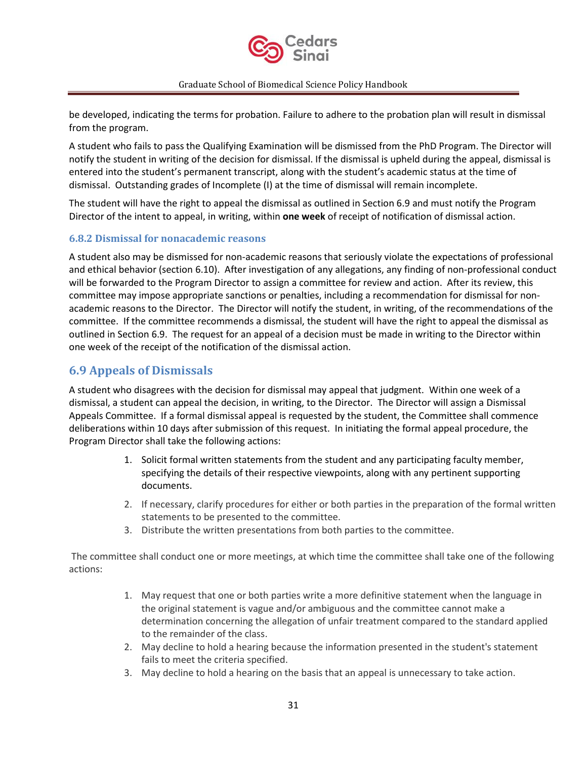

be developed, indicating the terms for probation. Failure to adhere to the probation plan will result in dismissal from the program.

A student who fails to pass the Qualifying Examination will be dismissed from the PhD Program. The Director will notify the student in writing of the decision for dismissal. If the dismissal is upheld during the appeal, dismissal is entered into the student's permanent transcript, along with the student's academic status at the time of dismissal. Outstanding grades of Incomplete (I) at the time of dismissal will remain incomplete.

The student will have the right to appeal the dismissal as outlined in Section 6.9 and must notify the Program Director of the intent to appeal, in writing, within **one week** of receipt of notification of dismissal action.

### <span id="page-30-0"></span>**6.8.2 Dismissal for nonacademic reasons**

A student also may be dismissed for non-academic reasons that seriously violate the expectations of professional and ethical behavior (section 6.10). After investigation of any allegations, any finding of non-professional conduct will be forwarded to the Program Director to assign a committee for review and action. After its review, this committee may impose appropriate sanctions or penalties, including a recommendation for dismissal for nonacademic reasons to the Director. The Director will notify the student, in writing, of the recommendations of the committee. If the committee recommends a dismissal, the student will have the right to appeal the dismissal as outlined in Section 6.9. The request for an appeal of a decision must be made in writing to the Director within one week of the receipt of the notification of the dismissal action.

# <span id="page-30-1"></span>**6.9 Appeals of Dismissals**

A student who disagrees with the decision for dismissal may appeal that judgment. Within one week of a dismissal, a student can appeal the decision, in writing, to the Director. The Director will assign a Dismissal Appeals Committee. If a formal dismissal appeal is requested by the student, the Committee shall commence deliberations within 10 days after submission of this request. In initiating the formal appeal procedure, the Program Director shall take the following actions:

- 1. Solicit formal written statements from the student and any participating faculty member, specifying the details of their respective viewpoints, along with any pertinent supporting documents.
- 2. If necessary, clarify procedures for either or both parties in the preparation of the formal written statements to be presented to the committee.
- 3. Distribute the written presentations from both parties to the committee.

The committee shall conduct one or more meetings, at which time the committee shall take one of the following actions:

- 1. May request that one or both parties write a more definitive statement when the language in the original statement is vague and/or ambiguous and the committee cannot make a determination concerning the allegation of unfair treatment compared to the standard applied to the remainder of the class.
- 2. May decline to hold a hearing because the information presented in the student's statement fails to meet the criteria specified.
- 3. May decline to hold a hearing on the basis that an appeal is unnecessary to take action.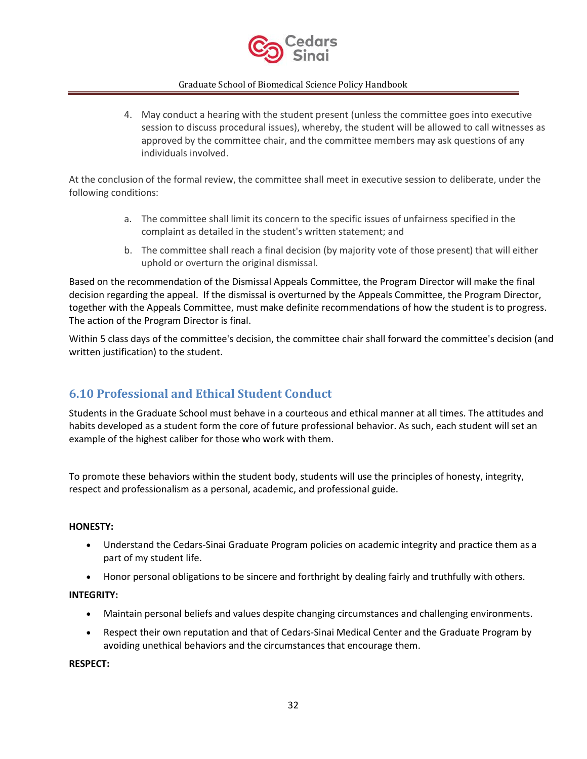

4. May conduct a hearing with the student present (unless the committee goes into executive session to discuss procedural issues), whereby, the student will be allowed to call witnesses as approved by the committee chair, and the committee members may ask questions of any individuals involved.

At the conclusion of the formal review, the committee shall meet in executive session to deliberate, under the following conditions:

- a. The committee shall limit its concern to the specific issues of unfairness specified in the complaint as detailed in the student's written statement; and
- b. The committee shall reach a final decision (by majority vote of those present) that will either uphold or overturn the original dismissal.

Based on the recommendation of the Dismissal Appeals Committee, the Program Director will make the final decision regarding the appeal. If the dismissal is overturned by the Appeals Committee, the Program Director, together with the Appeals Committee, must make definite recommendations of how the student is to progress. The action of the Program Director is final.

Within 5 class days of the committee's decision, the committee chair shall forward the committee's decision (and written justification) to the student.

# <span id="page-31-0"></span>**6.10 Professional and Ethical Student Conduct**

Students in the Graduate School must behave in a courteous and ethical manner at all times. The attitudes and habits developed as a student form the core of future professional behavior. As such, each student will set an example of the highest caliber for those who work with them.

To promote these behaviors within the student body, students will use the principles of honesty, integrity, respect and professionalism as a personal, academic, and professional guide.

### **HONESTY:**

- Understand the Cedars-Sinai Graduate Program policies on academic integrity and practice them as a part of my student life.
- Honor personal obligations to be sincere and forthright by dealing fairly and truthfully with others.

### **INTEGRITY:**

- Maintain personal beliefs and values despite changing circumstances and challenging environments.
- Respect their own reputation and that of Cedars-Sinai Medical Center and the Graduate Program by avoiding unethical behaviors and the circumstances that encourage them.

#### **RESPECT:**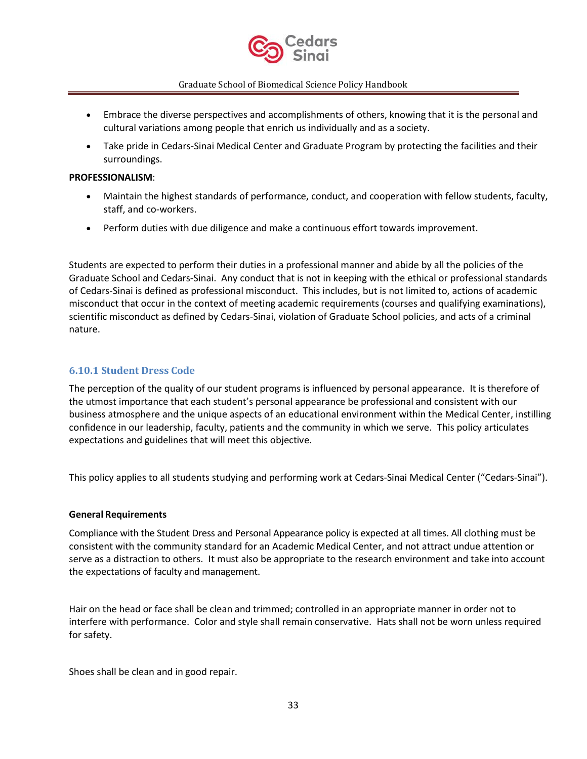

- Embrace the diverse perspectives and accomplishments of others, knowing that it is the personal and cultural variations among people that enrich us individually and as a society.
- Take pride in Cedars-Sinai Medical Center and Graduate Program by protecting the facilities and their surroundings.

#### **PROFESSIONALISM**:

- Maintain the highest standards of performance, conduct, and cooperation with fellow students, faculty, staff, and co-workers.
- Perform duties with due diligence and make a continuous effort towards improvement.

Students are expected to perform their duties in a professional manner and abide by all the policies of the Graduate School and Cedars-Sinai. Any conduct that is not in keeping with the ethical or professional standards of Cedars-Sinai is defined as professional misconduct. This includes, but is not limited to, actions of academic misconduct that occur in the context of meeting academic requirements (courses and qualifying examinations), scientific misconduct as defined by Cedars-Sinai, violation of Graduate School policies, and acts of a criminal nature.

### <span id="page-32-0"></span>**6.10.1 Student Dress Code**

The perception of the quality of our student programs is influenced by personal appearance. It is therefore of the utmost importance that each student's personal appearance be professional and consistent with our business atmosphere and the unique aspects of an educational environment within the Medical Center, instilling confidence in our leadership, faculty, patients and the community in which we serve. This policy articulates expectations and guidelines that will meet this objective.

This policy applies to all students studying and performing work at Cedars-Sinai Medical Center ("Cedars-Sinai").

#### **General Requirements**

Compliance with the Student Dress and Personal Appearance policy is expected at all times. All clothing must be consistent with the community standard for an Academic Medical Center, and not attract undue attention or serve as a distraction to others. It must also be appropriate to the research environment and take into account the expectations of faculty and management.

Hair on the head or face shall be clean and trimmed; controlled in an appropriate manner in order not to interfere with performance. Color and style shall remain conservative. Hats shall not be worn unless required for safety.

Shoes shall be clean and in good repair.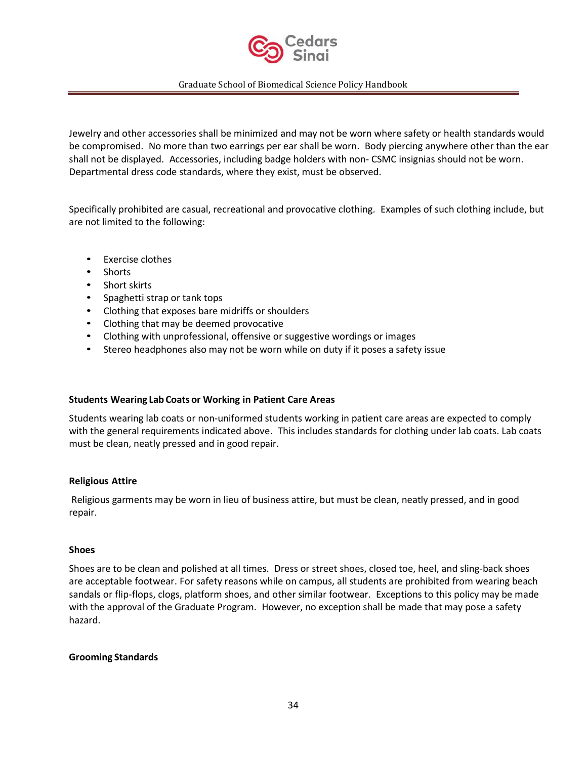

Jewelry and other accessories shall be minimized and may not be worn where safety or health standards would be compromised. No more than two earrings per ear shall be worn. Body piercing anywhere other than the ear shall not be displayed. Accessories, including badge holders with non- CSMC insignias should not be worn. Departmental dress code standards, where they exist, must be observed.

Specifically prohibited are casual, recreational and provocative clothing. Examples of such clothing include, but are not limited to the following:

- Exercise clothes
- Shorts
- Short skirts
- Spaghetti strap or tank tops
- Clothing that exposes bare midriffs or shoulders
- Clothing that may be deemed provocative
- Clothing with unprofessional, offensive or suggestive wordings or images
- Stereo headphones also may not be worn while on duty if it poses a safety issue

#### **Students Wearing Lab Coats or Working in Patient Care Areas**

Students wearing lab coats or non-uniformed students working in patient care areas are expected to comply with the general requirements indicated above. This includes standards for clothing under lab coats. Lab coats must be clean, neatly pressed and in good repair.

#### **Religious Attire**

Religious garments may be worn in lieu of business attire, but must be clean, neatly pressed, and in good repair.

#### **Shoes**

Shoes are to be clean and polished at all times. Dress or street shoes, closed toe, heel, and sling-back shoes are acceptable footwear. For safety reasons while on campus, all students are prohibited from wearing beach sandals or flip-flops, clogs, platform shoes, and other similar footwear. Exceptions to this policy may be made with the approval of the Graduate Program. However, no exception shall be made that may pose a safety hazard.

#### **Grooming Standards**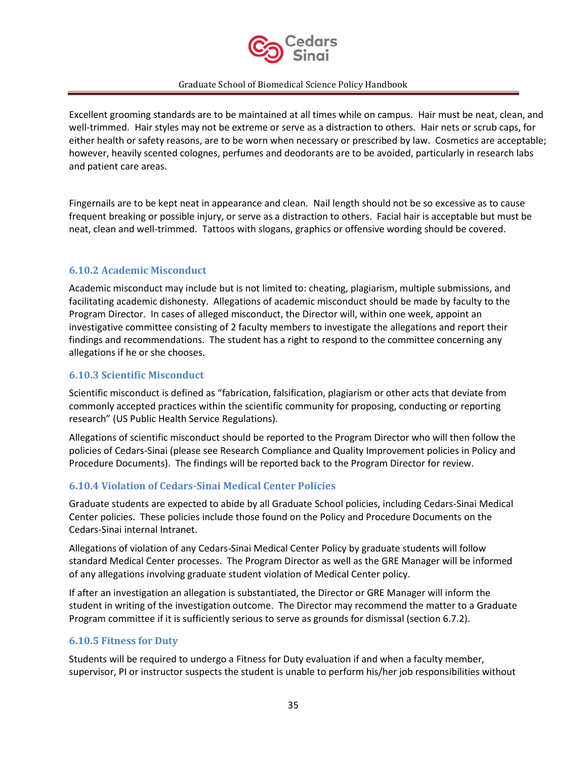

Excellent grooming standards are to be maintained at all times while on campus. Hair must be neat, clean, and well-trimmed. Hair styles may not be extreme or serve as a distraction to others. Hair nets or scrub caps, for either health or safety reasons, are to be worn when necessary or prescribed by law. Cosmetics are acceptable; however, heavily scented colognes, perfumes and deodorants are to be avoided, particularly in research labs and patient care areas.

Fingernails are to be kept neat in appearance and clean. Nail length should not be so excessive as to cause frequent breaking or possible injury, or serve as a distraction to others. Facial hair is acceptable but must be neat, clean and well-trimmed. Tattoos with slogans, graphics or offensive wording should be covered.

### <span id="page-34-0"></span>**6.10.2 Academic Misconduct**

Academic misconduct may include but is not limited to: cheating, plagiarism, multiple submissions, and facilitating academic dishonesty. Allegations of academic misconduct should be made by faculty to the Program Director. In cases of alleged misconduct, the Director will, within one week, appoint an investigative committee consisting of 2 faculty members to investigate the allegations and report their findings and recommendations. The student has a right to respond to the committee concerning any allegations if he or she chooses.

### <span id="page-34-1"></span>**6.10.3 Scientific Misconduct**

Scientific misconduct is defined as "fabrication, falsification, plagiarism or other acts that deviate from commonly accepted practices within the scientific community for proposing, conducting or reporting research" (US Public Health Service Regulations).

Allegations of scientific misconduct should be reported to the Program Director who will then follow the policies of Cedars-Sinai (please see Research Compliance and Quality Improvement policies in Policy and Procedure Documents). The findings will be reported back to the Program Director for review.

### <span id="page-34-2"></span>**6.10.4 Violation of Cedars-Sinai Medical Center Policies**

Graduate students are expected to abide by all Graduate School policies, including Cedars-Sinai Medical Center policies. These policies include those found on the Policy and Procedure Documents on the Cedars-Sinai internal Intranet.

Allegations of violation of any Cedars-Sinai Medical Center Policy by graduate students will follow standard Medical Center processes. The Program Director as well as the GRE Manager will be informed of any allegations involving graduate student violation of Medical Center policy.

If after an investigation an allegation is substantiated, the Director or GRE Manager will inform the student in writing of the investigation outcome. The Director may recommend the matter to a Graduate Program committee if it is sufficiently serious to serve as grounds for dismissal (section 6.7.2).

### <span id="page-34-3"></span>**6.10.5 Fitness for Duty**

Students will be required to undergo a Fitness for Duty evaluation if and when a faculty member, supervisor, PI or instructor suspects the student is unable to perform his/her job responsibilities without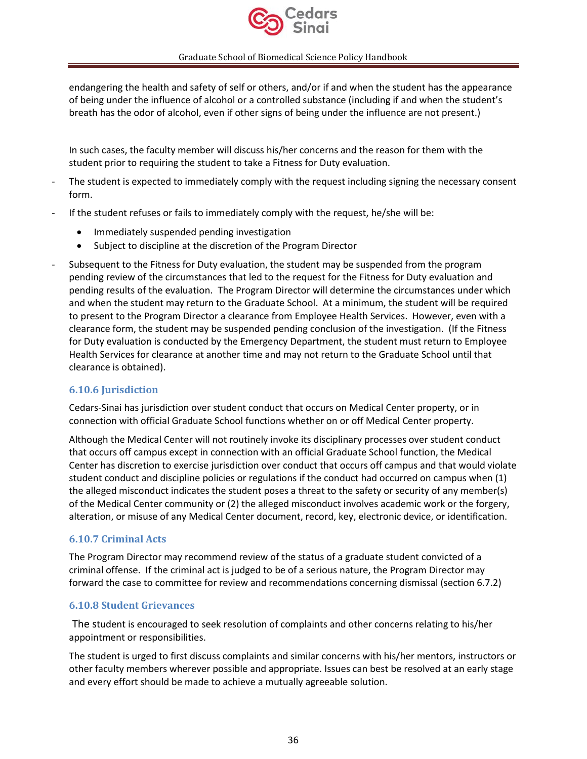

endangering the health and safety of self or others, and/or if and when the student has the appearance of being under the influence of alcohol or a controlled substance (including if and when the student's breath has the odor of alcohol, even if other signs of being under the influence are not present.)

In such cases, the faculty member will discuss his/her concerns and the reason for them with the student prior to requiring the student to take a Fitness for Duty evaluation.

- The student is expected to immediately comply with the request including signing the necessary consent form.
- If the student refuses or fails to immediately comply with the request, he/she will be:
	- Immediately suspended pending investigation
	- Subject to discipline at the discretion of the Program Director
- Subsequent to the Fitness for Duty evaluation, the student may be suspended from the program pending review of the circumstances that led to the request for the Fitness for Duty evaluation and pending results of the evaluation. The Program Director will determine the circumstances under which and when the student may return to the Graduate School. At a minimum, the student will be required to present to the Program Director a clearance from Employee Health Services. However, even with a clearance form, the student may be suspended pending conclusion of the investigation. (If the Fitness for Duty evaluation is conducted by the Emergency Department, the student must return to Employee Health Services for clearance at another time and may not return to the Graduate School until that clearance is obtained).

### <span id="page-35-0"></span>**6.10.6 Jurisdiction**

Cedars-Sinai has jurisdiction over student conduct that occurs on Medical Center property, or in connection with official Graduate School functions whether on or off Medical Center property.

Although the Medical Center will not routinely invoke its disciplinary processes over student conduct that occurs off campus except in connection with an official Graduate School function, the Medical Center has discretion to exercise jurisdiction over conduct that occurs off campus and that would violate student conduct and discipline policies or regulations if the conduct had occurred on campus when (1) the alleged misconduct indicates the student poses a threat to the safety or security of any member(s) of the Medical Center community or (2) the alleged misconduct involves academic work or the forgery, alteration, or misuse of any Medical Center document, record, key, electronic device, or identification.

### <span id="page-35-1"></span>**6.10.7 Criminal Acts**

The Program Director may recommend review of the status of a graduate student convicted of a criminal offense. If the criminal act is judged to be of a serious nature, the Program Director may forward the case to committee for review and recommendations concerning dismissal (section 6.7.2)

### <span id="page-35-2"></span>**6.10.8 Student Grievances**

The student is encouraged to seek resolution of complaints and other concerns relating to his/her appointment or responsibilities.

The student is urged to first discuss complaints and similar concerns with his/her mentors, instructors or other faculty members wherever possible and appropriate. Issues can best be resolved at an early stage and every effort should be made to achieve a mutually agreeable solution.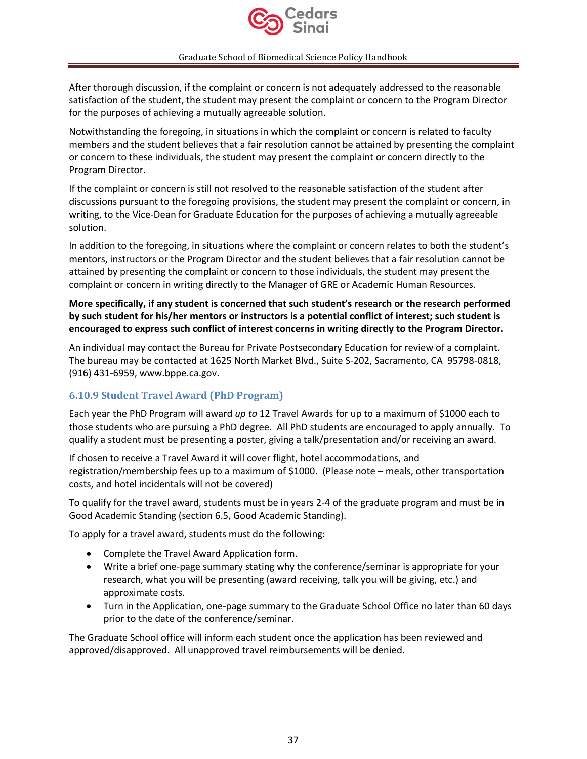

After thorough discussion, if the complaint or concern is not adequately addressed to the reasonable satisfaction of the student, the student may present the complaint or concern to the Program Director for the purposes of achieving a mutually agreeable solution.

Notwithstanding the foregoing, in situations in which the complaint or concern is related to faculty members and the student believes that a fair resolution cannot be attained by presenting the complaint or concern to these individuals, the student may present the complaint or concern directly to the Program Director.

If the complaint or concern is still not resolved to the reasonable satisfaction of the student after discussions pursuant to the foregoing provisions, the student may present the complaint or concern, in writing, to the Vice-Dean for Graduate Education for the purposes of achieving a mutually agreeable solution.

In addition to the foregoing, in situations where the complaint or concern relates to both the student's mentors, instructors or the Program Director and the student believes that a fair resolution cannot be attained by presenting the complaint or concern to those individuals, the student may present the complaint or concern in writing directly to the Manager of GRE or Academic Human Resources.

**More specifically, if any student is concerned that such student's research or the research performed by such student for his/her mentors or instructors is a potential conflict of interest; such student is encouraged to express such conflict of interest concerns in writing directly to the Program Director.**

An individual may contact the Bureau for Private Postsecondary Education for review of a complaint. The bureau may be contacted at 1625 North Market Blvd., Suite S-202, Sacramento, CA 95798-0818, (916) 431-6959, www.bppe.ca.gov.

### <span id="page-36-0"></span>**6.10.9 Student Travel Award (PhD Program)**

Each year the PhD Program will award *up to* 12 Travel Awards for up to a maximum of \$1000 each to those students who are pursuing a PhD degree. All PhD students are encouraged to apply annually. To qualify a student must be presenting a poster, giving a talk/presentation and/or receiving an award.

If chosen to receive a Travel Award it will cover flight, hotel accommodations, and registration/membership fees up to a maximum of \$1000. (Please note – meals, other transportation costs, and hotel incidentals will not be covered)

To qualify for the travel award, students must be in years 2-4 of the graduate program and must be in Good Academic Standing (section 6.5, Good Academic Standing).

To apply for a travel award, students must do the following:

- Complete the Travel Award Application form.
- Write a brief one-page summary stating why the conference/seminar is appropriate for your research, what you will be presenting (award receiving, talk you will be giving, etc.) and approximate costs.
- Turn in the Application, one-page summary to the Graduate School Office no later than 60 days prior to the date of the conference/seminar.

The Graduate School office will inform each student once the application has been reviewed and approved/disapproved. All unapproved travel reimbursements will be denied.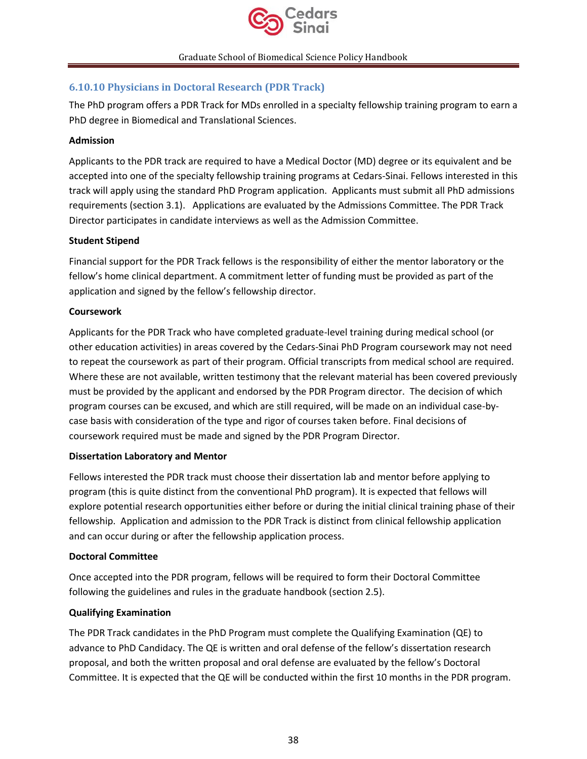

### <span id="page-37-0"></span>**6.10.10 Physicians in Doctoral Research (PDR Track)**

The PhD program offers a PDR Track for MDs enrolled in a specialty fellowship training program to earn a PhD degree in Biomedical and Translational Sciences.

### **Admission**

Applicants to the PDR track are required to have a Medical Doctor (MD) degree or its equivalent and be accepted into one of the specialty fellowship training programs at Cedars-Sinai. Fellows interested in this track will apply using the standard PhD Program application. Applicants must submit all PhD admissions requirements (section 3.1). Applications are evaluated by the Admissions Committee. The PDR Track Director participates in candidate interviews as well as the Admission Committee.

### **Student Stipend**

Financial support for the PDR Track fellows is the responsibility of either the mentor laboratory or the fellow's home clinical department. A commitment letter of funding must be provided as part of the application and signed by the fellow's fellowship director.

### **Coursework**

Applicants for the PDR Track who have completed graduate-level training during medical school (or other education activities) in areas covered by the Cedars-Sinai PhD Program coursework may not need to repeat the coursework as part of their program. Official transcripts from medical school are required. Where these are not available, written testimony that the relevant material has been covered previously must be provided by the applicant and endorsed by the PDR Program director. The decision of which program courses can be excused, and which are still required, will be made on an individual case-bycase basis with consideration of the type and rigor of courses taken before. Final decisions of coursework required must be made and signed by the PDR Program Director.

### **Dissertation Laboratory and Mentor**

Fellows interested the PDR track must choose their dissertation lab and mentor before applying to program (this is quite distinct from the conventional PhD program). It is expected that fellows will explore potential research opportunities either before or during the initial clinical training phase of their fellowship. Application and admission to the PDR Track is distinct from clinical fellowship application and can occur during or after the fellowship application process.

### **Doctoral Committee**

Once accepted into the PDR program, fellows will be required to form their Doctoral Committee following the guidelines and rules in the graduate handbook (section 2.5).

### **Qualifying Examination**

The PDR Track candidates in the PhD Program must complete the Qualifying Examination (QE) to advance to PhD Candidacy. The QE is written and oral defense of the fellow's dissertation research proposal, and both the written proposal and oral defense are evaluated by the fellow's Doctoral Committee. It is expected that the QE will be conducted within the first 10 months in the PDR program.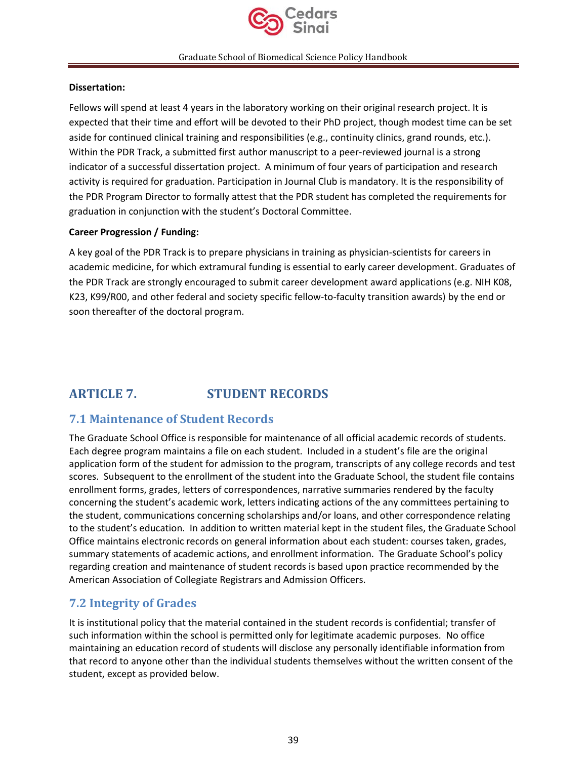

### **Dissertation:**

Fellows will spend at least 4 years in the laboratory working on their original research project. It is expected that their time and effort will be devoted to their PhD project, though modest time can be set aside for continued clinical training and responsibilities (e.g., continuity clinics, grand rounds, etc.). Within the PDR Track, a submitted first author manuscript to a peer-reviewed journal is a strong indicator of a successful dissertation project. A minimum of four years of participation and research activity is required for graduation. Participation in Journal Club is mandatory. It is the responsibility of the PDR Program Director to formally attest that the PDR student has completed the requirements for graduation in conjunction with the student's Doctoral Committee.

### **Career Progression / Funding:**

A key goal of the PDR Track is to prepare physicians in training as physician-scientists for careers in academic medicine, for which extramural funding is essential to early career development. Graduates of the PDR Track are strongly encouraged to submit career development award applications (e.g. NIH K08, K23, K99/R00, and other federal and society specific fellow-to-faculty transition awards) by the end or soon thereafter of the doctoral program.

# <span id="page-38-0"></span>**ARTICLE 7. STUDENT RECORDS**

# <span id="page-38-1"></span>**7.1 Maintenance of Student Records**

The Graduate School Office is responsible for maintenance of all official academic records of students. Each degree program maintains a file on each student. Included in a student's file are the original application form of the student for admission to the program, transcripts of any college records and test scores. Subsequent to the enrollment of the student into the Graduate School, the student file contains enrollment forms, grades, letters of correspondences, narrative summaries rendered by the faculty concerning the student's academic work, letters indicating actions of the any committees pertaining to the student, communications concerning scholarships and/or loans, and other correspondence relating to the student's education. In addition to written material kept in the student files, the Graduate School Office maintains electronic records on general information about each student: courses taken, grades, summary statements of academic actions, and enrollment information. The Graduate School's policy regarding creation and maintenance of student records is based upon practice recommended by the American Association of Collegiate Registrars and Admission Officers.

# <span id="page-38-2"></span>**7.2 Integrity of Grades**

It is institutional policy that the material contained in the student records is confidential; transfer of such information within the school is permitted only for legitimate academic purposes. No office maintaining an education record of students will disclose any personally identifiable information from that record to anyone other than the individual students themselves without the written consent of the student, except as provided below.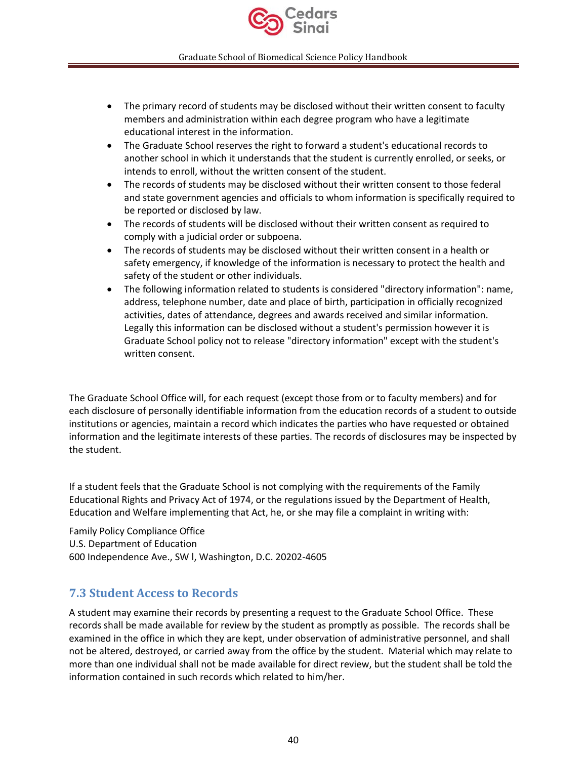

- The primary record of students may be disclosed without their written consent to faculty members and administration within each degree program who have a legitimate educational interest in the information.
- The Graduate School reserves the right to forward a student's educational records to another school in which it understands that the student is currently enrolled, or seeks, or intends to enroll, without the written consent of the student.
- The records of students may be disclosed without their written consent to those federal and state government agencies and officials to whom information is specifically required to be reported or disclosed by law.
- The records of students will be disclosed without their written consent as required to comply with a judicial order or subpoena.
- The records of students may be disclosed without their written consent in a health or safety emergency, if knowledge of the information is necessary to protect the health and safety of the student or other individuals.
- The following information related to students is considered "directory information": name, address, telephone number, date and place of birth, participation in officially recognized activities, dates of attendance, degrees and awards received and similar information. Legally this information can be disclosed without a student's permission however it is Graduate School policy not to release "directory information" except with the student's written consent.

The Graduate School Office will, for each request (except those from or to faculty members) and for each disclosure of personally identifiable information from the education records of a student to outside institutions or agencies, maintain a record which indicates the parties who have requested or obtained information and the legitimate interests of these parties. The records of disclosures may be inspected by the student.

If a student feels that the Graduate School is not complying with the requirements of the Family Educational Rights and Privacy Act of 1974, or the regulations issued by the Department of Health, Education and Welfare implementing that Act, he, or she may file a complaint in writing with:

Family Policy Compliance Office U.S. Department of Education 600 Independence Ave., SW l, Washington, D.C. 20202-4605

# <span id="page-39-0"></span>**7.3 Student Access to Records**

A student may examine their records by presenting a request to the Graduate School Office. These records shall be made available for review by the student as promptly as possible. The records shall be examined in the office in which they are kept, under observation of administrative personnel, and shall not be altered, destroyed, or carried away from the office by the student. Material which may relate to more than one individual shall not be made available for direct review, but the student shall be told the information contained in such records which related to him/her.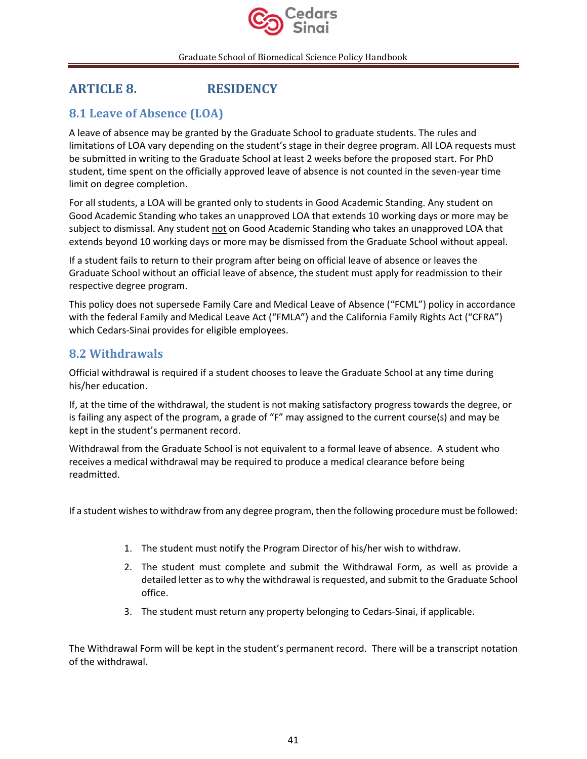

# <span id="page-40-0"></span>**ARTICLE 8. RESIDENCY**

# <span id="page-40-1"></span>**8.1 Leave of Absence (LOA)**

A leave of absence may be granted by the Graduate School to graduate students. The rules and limitations of LOA vary depending on the student's stage in their degree program. All LOA requests must be submitted in writing to the Graduate School at least 2 weeks before the proposed start. For PhD student, time spent on the officially approved leave of absence is not counted in the seven-year time limit on degree completion.

For all students, a LOA will be granted only to students in Good Academic Standing. Any student on Good Academic Standing who takes an unapproved LOA that extends 10 working days or more may be subject to dismissal. Any student not on Good Academic Standing who takes an unapproved LOA that extends beyond 10 working days or more may be dismissed from the Graduate School without appeal.

If a student fails to return to their program after being on official leave of absence or leaves the Graduate School without an official leave of absence, the student must apply for readmission to their respective degree program.

This policy does not supersede Family Care and Medical Leave of Absence ("FCML") policy in accordance with the federal Family and Medical Leave Act ("FMLA") and the California Family Rights Act ("CFRA") which Cedars-Sinai provides for eligible employees.

# <span id="page-40-2"></span>**8.2 Withdrawals**

Official withdrawal is required if a student chooses to leave the Graduate School at any time during his/her education.

If, at the time of the withdrawal, the student is not making satisfactory progress towards the degree, or is failing any aspect of the program, a grade of "F" may assigned to the current course(s) and may be kept in the student's permanent record.

Withdrawal from the Graduate School is not equivalent to a formal leave of absence. A student who receives a medical withdrawal may be required to produce a medical clearance before being readmitted.

If a student wishes to withdraw from any degree program, then the following procedure must be followed:

- 1. The student must notify the Program Director of his/her wish to withdraw.
- 2. The student must complete and submit the Withdrawal Form, as well as provide a detailed letter as to why the withdrawal is requested, and submit to the Graduate School office.
- 3. The student must return any property belonging to Cedars-Sinai, if applicable.

The Withdrawal Form will be kept in the student's permanent record. There will be a transcript notation of the withdrawal.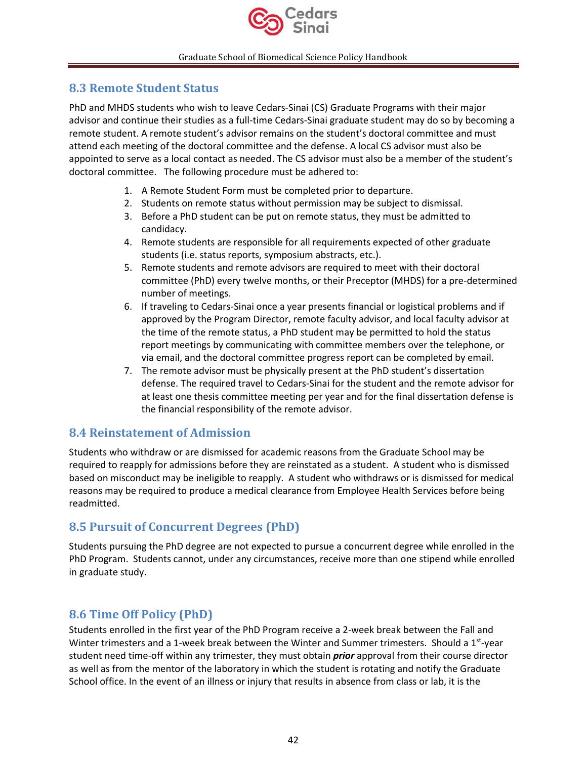

# <span id="page-41-0"></span>**8.3 Remote Student Status**

PhD and MHDS students who wish to leave Cedars-Sinai (CS) Graduate Programs with their major advisor and continue their studies as a full-time Cedars-Sinai graduate student may do so by becoming a remote student. A remote student's advisor remains on the student's doctoral committee and must attend each meeting of the doctoral committee and the defense. A local CS advisor must also be appointed to serve as a local contact as needed. The CS advisor must also be a member of the student's doctoral committee. The following procedure must be adhered to:

- 1. A Remote Student Form must be completed prior to departure.
- 2. Students on remote status without permission may be subject to dismissal.
- 3. Before a PhD student can be put on remote status, they must be admitted to candidacy.
- 4. Remote students are responsible for all requirements expected of other graduate students (i.e. status reports, symposium abstracts, etc.).
- 5. Remote students and remote advisors are required to meet with their doctoral committee (PhD) every twelve months, or their Preceptor (MHDS) for a pre-determined number of meetings.
- 6. If traveling to Cedars-Sinai once a year presents financial or logistical problems and if approved by the Program Director, remote faculty advisor, and local faculty advisor at the time of the remote status, a PhD student may be permitted to hold the status report meetings by communicating with committee members over the telephone, or via email, and the doctoral committee progress report can be completed by email.
- 7. The remote advisor must be physically present at the PhD student's dissertation defense. The required travel to Cedars-Sinai for the student and the remote advisor for at least one thesis committee meeting per year and for the final dissertation defense is the financial responsibility of the remote advisor.

### <span id="page-41-1"></span>**8.4 Reinstatement of Admission**

Students who withdraw or are dismissed for academic reasons from the Graduate School may be required to reapply for admissions before they are reinstated as a student. A student who is dismissed based on misconduct may be ineligible to reapply. A student who withdraws or is dismissed for medical reasons may be required to produce a medical clearance from Employee Health Services before being readmitted.

# <span id="page-41-2"></span>**8.5 Pursuit of Concurrent Degrees (PhD)**

Students pursuing the PhD degree are not expected to pursue a concurrent degree while enrolled in the PhD Program. Students cannot, under any circumstances, receive more than one stipend while enrolled in graduate study.

# <span id="page-41-3"></span>**8.6 Time Off Policy (PhD)**

Students enrolled in the first year of the PhD Program receive a 2-week break between the Fall and Winter trimesters and a 1-week break between the Winter and Summer trimesters. Should a 1<sup>st</sup>-year student need time-off within any trimester, they must obtain *prior* approval from their course director as well as from the mentor of the laboratory in which the student is rotating and notify the Graduate School office. In the event of an illness or injury that results in absence from class or lab, it is the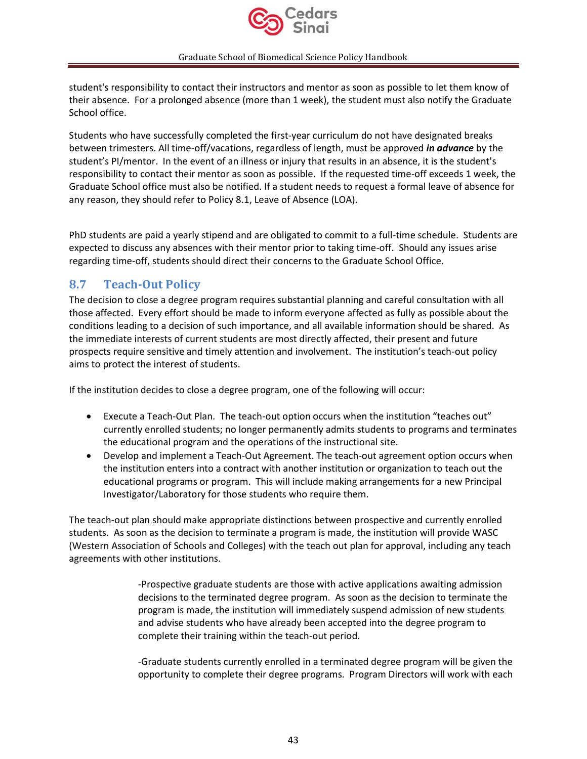

student's responsibility to contact their instructors and mentor as soon as possible to let them know of their absence. For a prolonged absence (more than 1 week), the student must also notify the Graduate School office.

Students who have successfully completed the first-year curriculum do not have designated breaks between trimesters. All time-off/vacations, regardless of length, must be approved *in advance* by the student's PI/mentor. In the event of an illness or injury that results in an absence, it is the student's responsibility to contact their mentor as soon as possible. If the requested time-off exceeds 1 week, the Graduate School office must also be notified. If a student needs to request a formal leave of absence for any reason, they should refer to Policy 8.1, Leave of Absence (LOA).

PhD students are paid a yearly stipend and are obligated to commit to a full-time schedule. Students are expected to discuss any absences with their mentor prior to taking time-off. Should any issues arise regarding time-off, students should direct their concerns to the Graduate School Office.

# <span id="page-42-0"></span>**8.7 Teach-Out Policy**

The decision to close a degree program requires substantial planning and careful consultation with all those affected. Every effort should be made to inform everyone affected as fully as possible about the conditions leading to a decision of such importance, and all available information should be shared. As the immediate interests of current students are most directly affected, their present and future prospects require sensitive and timely attention and involvement. The institution's teach-out policy aims to protect the interest of students.

If the institution decides to close a degree program, one of the following will occur:

- Execute a Teach-Out Plan. The teach-out option occurs when the institution "teaches out" currently enrolled students; no longer permanently admits students to programs and terminates the educational program and the operations of the instructional site.
- Develop and implement a Teach-Out Agreement. The teach-out agreement option occurs when the institution enters into a contract with another institution or organization to teach out the educational programs or program. This will include making arrangements for a new Principal Investigator/Laboratory for those students who require them.

The teach-out plan should make appropriate distinctions between prospective and currently enrolled students. As soon as the decision to terminate a program is made, the institution will provide WASC (Western Association of Schools and Colleges) with the teach out plan for approval, including any teach agreements with other institutions.

> -Prospective graduate students are those with active applications awaiting admission decisions to the terminated degree program. As soon as the decision to terminate the program is made, the institution will immediately suspend admission of new students and advise students who have already been accepted into the degree program to complete their training within the teach-out period.

-Graduate students currently enrolled in a terminated degree program will be given the opportunity to complete their degree programs. Program Directors will work with each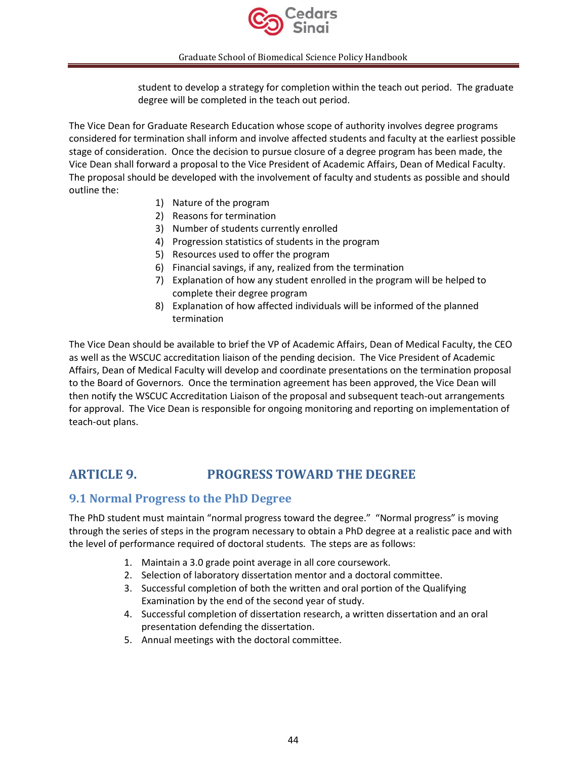

student to develop a strategy for completion within the teach out period. The graduate degree will be completed in the teach out period.

The Vice Dean for Graduate Research Education whose scope of authority involves degree programs considered for termination shall inform and involve affected students and faculty at the earliest possible stage of consideration. Once the decision to pursue closure of a degree program has been made, the Vice Dean shall forward a proposal to the Vice President of Academic Affairs, Dean of Medical Faculty. The proposal should be developed with the involvement of faculty and students as possible and should outline the:

- 1) Nature of the program
- 2) Reasons for termination
- 3) Number of students currently enrolled
- 4) Progression statistics of students in the program
- 5) Resources used to offer the program
- 6) Financial savings, if any, realized from the termination
- 7) Explanation of how any student enrolled in the program will be helped to complete their degree program
- 8) Explanation of how affected individuals will be informed of the planned termination

The Vice Dean should be available to brief the VP of Academic Affairs, Dean of Medical Faculty, the CEO as well as the WSCUC accreditation liaison of the pending decision. The Vice President of Academic Affairs, Dean of Medical Faculty will develop and coordinate presentations on the termination proposal to the Board of Governors. Once the termination agreement has been approved, the Vice Dean will then notify the WSCUC Accreditation Liaison of the proposal and subsequent teach-out arrangements for approval. The Vice Dean is responsible for ongoing monitoring and reporting on implementation of teach-out plans.

# <span id="page-43-0"></span>**ARTICLE 9. PROGRESS TOWARD THE DEGREE**

### <span id="page-43-1"></span>**9.1 Normal Progress to the PhD Degree**

The PhD student must maintain "normal progress toward the degree." "Normal progress" is moving through the series of steps in the program necessary to obtain a PhD degree at a realistic pace and with the level of performance required of doctoral students. The steps are as follows:

- 1. Maintain a 3.0 grade point average in all core coursework.
- 2. Selection of laboratory dissertation mentor and a doctoral committee.
- 3. Successful completion of both the written and oral portion of the Qualifying Examination by the end of the second year of study.
- 4. Successful completion of dissertation research, a written dissertation and an oral presentation defending the dissertation.
- 5. Annual meetings with the doctoral committee.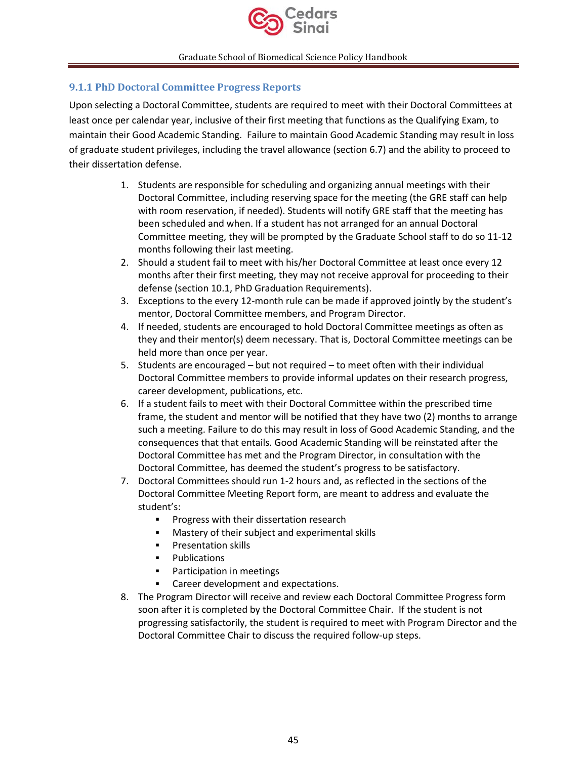

### <span id="page-44-0"></span>**9.1.1 PhD Doctoral Committee Progress Reports**

Upon selecting a Doctoral Committee, students are required to meet with their Doctoral Committees at least once per calendar year, inclusive of their first meeting that functions as the Qualifying Exam, to maintain their Good Academic Standing. Failure to maintain Good Academic Standing may result in loss of graduate student privileges, including the travel allowance (section 6.7) and the ability to proceed to their dissertation defense.

- 1. Students are responsible for scheduling and organizing annual meetings with their Doctoral Committee, including reserving space for the meeting (the GRE staff can help with room reservation, if needed). Students will notify GRE staff that the meeting has been scheduled and when. If a student has not arranged for an annual Doctoral Committee meeting, they will be prompted by the Graduate School staff to do so 11-12 months following their last meeting.
- 2. Should a student fail to meet with his/her Doctoral Committee at least once every 12 months after their first meeting, they may not receive approval for proceeding to their defense (section 10.1, PhD Graduation Requirements).
- 3. Exceptions to the every 12-month rule can be made if approved jointly by the student's mentor, Doctoral Committee members, and Program Director.
- 4. If needed, students are encouraged to hold Doctoral Committee meetings as often as they and their mentor(s) deem necessary. That is, Doctoral Committee meetings can be held more than once per year.
- 5. Students are encouraged but not required to meet often with their individual Doctoral Committee members to provide informal updates on their research progress, career development, publications, etc.
- 6. If a student fails to meet with their Doctoral Committee within the prescribed time frame, the student and mentor will be notified that they have two (2) months to arrange such a meeting. Failure to do this may result in loss of Good Academic Standing, and the consequences that that entails. Good Academic Standing will be reinstated after the Doctoral Committee has met and the Program Director, in consultation with the Doctoral Committee, has deemed the student's progress to be satisfactory.
- 7. Doctoral Committees should run 1-2 hours and, as reflected in the sections of the Doctoral Committee Meeting Report form, are meant to address and evaluate the student's:
	- **•** Progress with their dissertation research
	- Mastery of their subject and experimental skills
	- Presentation skills
	- Publications
	- Participation in meetings
	- Career development and expectations.
- 8. The Program Director will receive and review each Doctoral Committee Progress form soon after it is completed by the Doctoral Committee Chair. If the student is not progressing satisfactorily, the student is required to meet with Program Director and the Doctoral Committee Chair to discuss the required follow-up steps.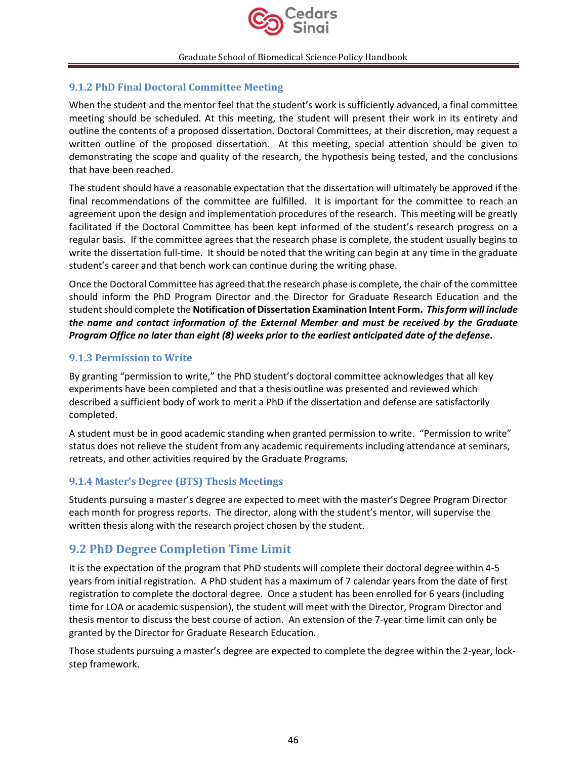

### <span id="page-45-0"></span>**9.1.2 PhD Final Doctoral Committee Meeting**

When the student and the mentor feel that the student's work is sufficiently advanced, a final committee meeting should be scheduled. At this meeting, the student will present their work in its entirety and outline the contents of a proposed dissertation. Doctoral Committees, at their discretion, may request a written outline of the proposed dissertation. At this meeting, special attention should be given to demonstrating the scope and quality of the research, the hypothesis being tested, and the conclusions that have been reached.

The student should have a reasonable expectation that the dissertation will ultimately be approved if the final recommendations of the committee are fulfilled. It is important for the committee to reach an agreement upon the design and implementation procedures of the research. This meeting will be greatly facilitated if the Doctoral Committee has been kept informed of the student's research progress on a regular basis. If the committee agrees that the research phase is complete, the student usually begins to write the dissertation full-time. It should be noted that the writing can begin at any time in the graduate student's career and that bench work can continue during the writing phase.

Once the Doctoral Committee has agreed that the research phase is complete, the chair of the committee should inform the PhD Program Director and the Director for Graduate Research Education and the student should complete the **Notification of Dissertation Examination Intent Form.** *This form will include the name and contact information of the External Member and must be received by the Graduate Program Office no later than eight (8) weeks prior to the earliest anticipated date of the defense***.** 

### <span id="page-45-1"></span>**9.1.3 Permission to Write**

By granting "permission to write," the PhD student's doctoral committee acknowledges that all key experiments have been completed and that a thesis outline was presented and reviewed which described a sufficient body of work to merit a PhD if the dissertation and defense are satisfactorily completed.

A student must be in good academic standing when granted permission to write. "Permission to write" status does not relieve the student from any academic requirements including attendance at seminars, retreats, and other activities required by the Graduate Programs.

### <span id="page-45-2"></span>**9.1.4 Master's Degree (BTS) Thesis Meetings**

Students pursuing a master's degree are expected to meet with the master's Degree Program Director each month for progress reports. The director, along with the student's mentor, will supervise the written thesis along with the research project chosen by the student.

### <span id="page-45-3"></span>**9.2 PhD Degree Completion Time Limit**

It is the expectation of the program that PhD students will complete their doctoral degree within 4-5 years from initial registration. A PhD student has a maximum of 7 calendar years from the date of first registration to complete the doctoral degree. Once a student has been enrolled for 6 years (including time for LOA or academic suspension), the student will meet with the Director, Program Director and thesis mentor to discuss the best course of action. An extension of the 7-year time limit can only be granted by the Director for Graduate Research Education.

Those students pursuing a master's degree are expected to complete the degree within the 2-year, lockstep framework.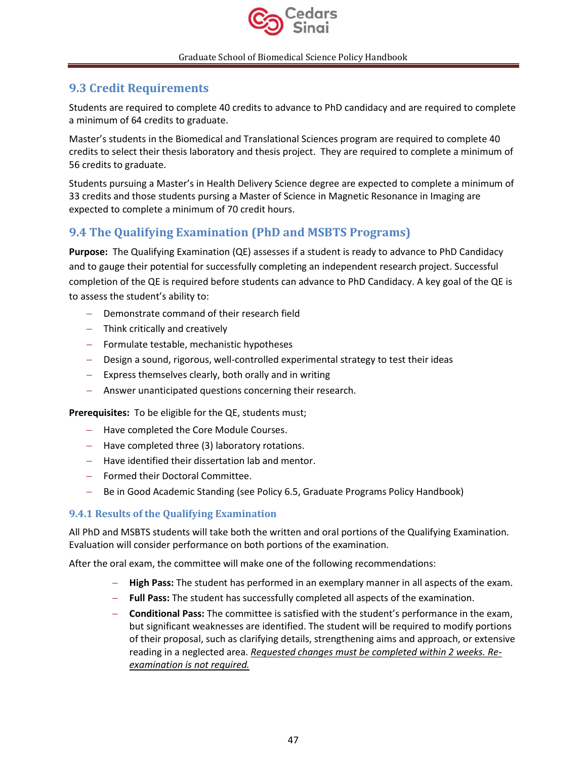

# <span id="page-46-0"></span>**9.3 Credit Requirements**

Students are required to complete 40 credits to advance to PhD candidacy and are required to complete a minimum of 64 credits to graduate.

Master's students in the Biomedical and Translational Sciences program are required to complete 40 credits to select their thesis laboratory and thesis project. They are required to complete a minimum of 56 credits to graduate.

Students pursuing a Master's in Health Delivery Science degree are expected to complete a minimum of 33 credits and those students pursing a Master of Science in Magnetic Resonance in Imaging are expected to complete a minimum of 70 credit hours.

# <span id="page-46-1"></span>**9.4 The Qualifying Examination (PhD and MSBTS Programs)**

**Purpose:** The Qualifying Examination (QE) assesses if a student is ready to advance to PhD Candidacy and to gauge their potential for successfully completing an independent research project. Successful completion of the QE is required before students can advance to PhD Candidacy. A key goal of the QE is to assess the student's ability to:

- − Demonstrate command of their research field
- − Think critically and creatively
- − Formulate testable, mechanistic hypotheses
- − Design a sound, rigorous, well-controlled experimental strategy to test their ideas
- − Express themselves clearly, both orally and in writing
- − Answer unanticipated questions concerning their research.

**Prerequisites:** To be eligible for the QE, students must;

- − Have completed the Core Module Courses.
- − Have completed three (3) laboratory rotations.
- − Have identified their dissertation lab and mentor.
- − Formed their Doctoral Committee.
- − Be in Good Academic Standing (see Policy 6.5, Graduate Programs Policy Handbook)

### <span id="page-46-2"></span>**9.4.1 Results of the Qualifying Examination**

All PhD and MSBTS students will take both the written and oral portions of the Qualifying Examination. Evaluation will consider performance on both portions of the examination.

After the oral exam, the committee will make one of the following recommendations:

- − **High Pass:** The student has performed in an exemplary manner in all aspects of the exam.
- − **Full Pass:** The student has successfully completed all aspects of the examination.
- − **Conditional Pass:** The committee is satisfied with the student's performance in the exam, but significant weaknesses are identified. The student will be required to modify portions of their proposal, such as clarifying details, strengthening aims and approach, or extensive reading in a neglected area. *Requested changes must be completed within 2 weeks. Reexamination is not required.*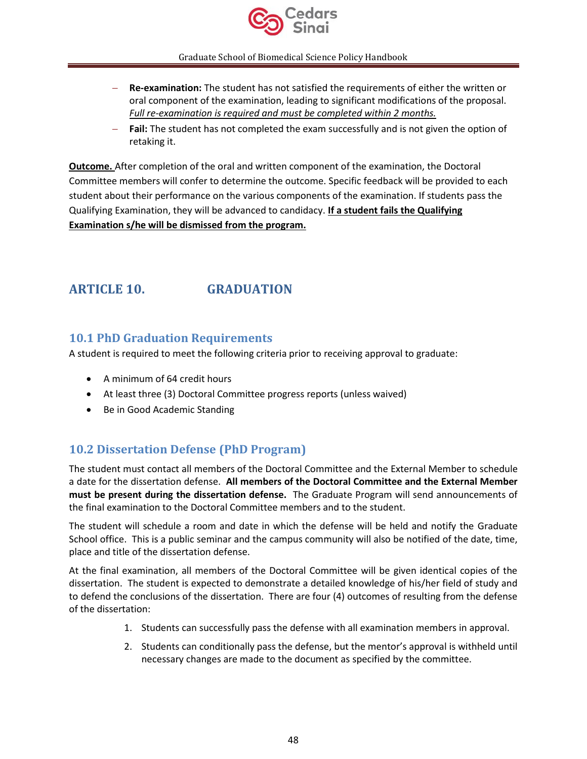

- − **Re-examination:** The student has not satisfied the requirements of either the written or oral component of the examination, leading to significant modifications of the proposal. *Full re-examination is required and must be completed within 2 months.*
- **Fail:** The student has not completed the exam successfully and is not given the option of retaking it.

**Outcome.** After completion of the oral and written component of the examination, the Doctoral Committee members will confer to determine the outcome. Specific feedback will be provided to each student about their performance on the various components of the examination. If students pass the Qualifying Examination, they will be advanced to candidacy. **If a student fails the Qualifying Examination s/he will be dismissed from the program.**

# <span id="page-47-0"></span>**ARTICLE 10. GRADUATION**

# <span id="page-47-1"></span>**10.1 PhD Graduation Requirements**

A student is required to meet the following criteria prior to receiving approval to graduate:

- A minimum of 64 credit hours
- At least three (3) Doctoral Committee progress reports (unless waived)
- Be in Good Academic Standing

# <span id="page-47-2"></span>**10.2 Dissertation Defense (PhD Program)**

The student must contact all members of the Doctoral Committee and the External Member to schedule a date for the dissertation defense. **All members of the Doctoral Committee and the External Member must be present during the dissertation defense.** The Graduate Program will send announcements of the final examination to the Doctoral Committee members and to the student.

The student will schedule a room and date in which the defense will be held and notify the Graduate School office. This is a public seminar and the campus community will also be notified of the date, time, place and title of the dissertation defense.

At the final examination, all members of the Doctoral Committee will be given identical copies of the dissertation. The student is expected to demonstrate a detailed knowledge of his/her field of study and to defend the conclusions of the dissertation. There are four (4) outcomes of resulting from the defense of the dissertation:

- 1. Students can successfully pass the defense with all examination members in approval.
- 2. Students can conditionally pass the defense, but the mentor's approval is withheld until necessary changes are made to the document as specified by the committee.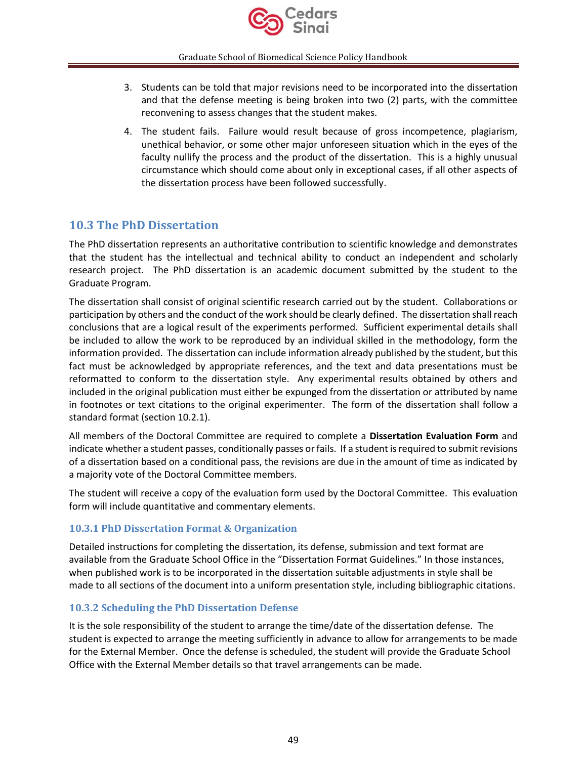

- 3. Students can be told that major revisions need to be incorporated into the dissertation and that the defense meeting is being broken into two (2) parts, with the committee reconvening to assess changes that the student makes.
- 4. The student fails. Failure would result because of gross incompetence, plagiarism, unethical behavior, or some other major unforeseen situation which in the eyes of the faculty nullify the process and the product of the dissertation. This is a highly unusual circumstance which should come about only in exceptional cases, if all other aspects of the dissertation process have been followed successfully.

# <span id="page-48-0"></span>**10.3 The PhD Dissertation**

The PhD dissertation represents an authoritative contribution to scientific knowledge and demonstrates that the student has the intellectual and technical ability to conduct an independent and scholarly research project. The PhD dissertation is an academic document submitted by the student to the Graduate Program.

The dissertation shall consist of original scientific research carried out by the student. Collaborations or participation by others and the conduct of the work should be clearly defined. The dissertation shall reach conclusions that are a logical result of the experiments performed. Sufficient experimental details shall be included to allow the work to be reproduced by an individual skilled in the methodology, form the information provided. The dissertation can include information already published by the student, but this fact must be acknowledged by appropriate references, and the text and data presentations must be reformatted to conform to the dissertation style. Any experimental results obtained by others and included in the original publication must either be expunged from the dissertation or attributed by name in footnotes or text citations to the original experimenter. The form of the dissertation shall follow a standard format (section 10.2.1).

All members of the Doctoral Committee are required to complete a **Dissertation Evaluation Form** and indicate whether a student passes, conditionally passes or fails. If a student is required to submit revisions of a dissertation based on a conditional pass, the revisions are due in the amount of time as indicated by a majority vote of the Doctoral Committee members.

The student will receive a copy of the evaluation form used by the Doctoral Committee. This evaluation form will include quantitative and commentary elements.

### <span id="page-48-1"></span>**10.3.1 PhD Dissertation Format & Organization**

Detailed instructions for completing the dissertation, its defense, submission and text format are available from the Graduate School Office in the "Dissertation Format Guidelines." In those instances, when published work is to be incorporated in the dissertation suitable adjustments in style shall be made to all sections of the document into a uniform presentation style, including bibliographic citations.

### <span id="page-48-2"></span>**10.3.2 Scheduling the PhD Dissertation Defense**

It is the sole responsibility of the student to arrange the time/date of the dissertation defense. The student is expected to arrange the meeting sufficiently in advance to allow for arrangements to be made for the External Member. Once the defense is scheduled, the student will provide the Graduate School Office with the External Member details so that travel arrangements can be made.